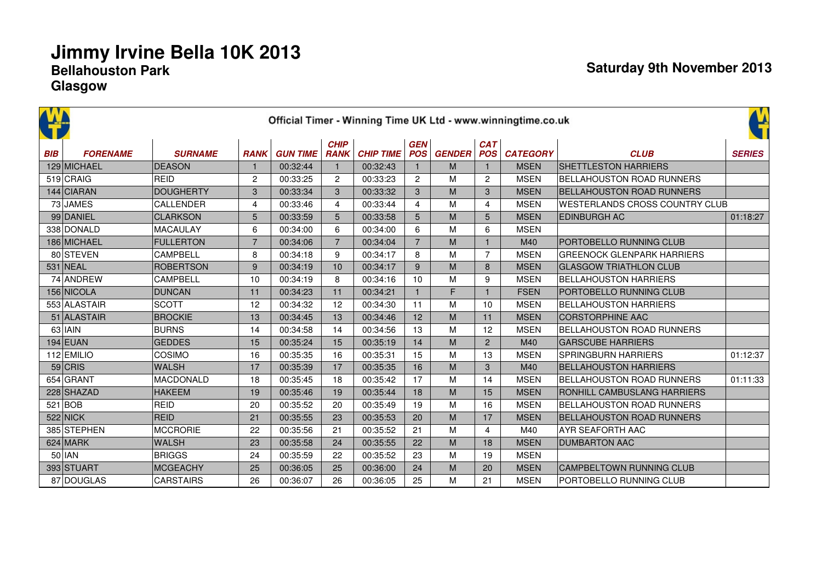| <b>AVA</b> |                 |                  |                |                 |                            |                  |                          |               |                          | Official Timer - Winning Time UK Ltd - www.winningtime.co.uk |                                   | Ľ             |
|------------|-----------------|------------------|----------------|-----------------|----------------------------|------------------|--------------------------|---------------|--------------------------|--------------------------------------------------------------|-----------------------------------|---------------|
| <b>BIB</b> | <b>FORENAME</b> | <b>SURNAME</b>   | <b>RANK</b>    | <b>GUN TIME</b> | <b>CHIP</b><br><b>RANK</b> | <b>CHIP TIME</b> | <b>GEN</b><br><b>POS</b> | <b>GENDER</b> | <b>CAT</b><br><b>POS</b> | <b>CATEGORY</b>                                              | <b>CLUB</b>                       | <b>SERIES</b> |
|            | 129 MICHAEL     | <b>DEASON</b>    |                | 00:32:44        | 1                          | 00:32:43         |                          | M             |                          | <b>MSEN</b>                                                  | <b>SHETTLESTON HARRIERS</b>       |               |
|            | 519 CRAIG       | <b>REID</b>      | $\overline{c}$ | 00:33:25        | $\overline{2}$             | 00:33:23         | $\overline{c}$           | M             | $\overline{c}$           | <b>MSEN</b>                                                  | <b>BELLAHOUSTON ROAD RUNNERS</b>  |               |
|            | 144 CIARAN      | <b>DOUGHERTY</b> | 3              | 00:33:34        | 3                          | 00:33:32         | 3                        | M             | 3                        | <b>MSEN</b>                                                  | <b>BELLAHOUSTON ROAD RUNNERS</b>  |               |
|            | 73 JAMES        | <b>CALLENDER</b> | 4              | 00:33:46        | $\overline{4}$             | 00:33:44         | $\overline{4}$           | м             | 4                        | <b>MSEN</b>                                                  | WESTERLANDS CROSS COUNTRY CLUB    |               |
|            | 99 DANIEL       | <b>CLARKSON</b>  | 5              | 00:33:59        | 5                          | 00:33:58         | 5                        | M             | 5                        | <b>MSEN</b>                                                  | <b>EDINBURGH AC</b>               | 01:18:27      |
|            | 338 DONALD      | <b>MACAULAY</b>  | 6              | 00:34:00        | 6                          | 00:34:00         | 6                        | м             | 6                        | <b>MSEN</b>                                                  |                                   |               |
|            | 186 MICHAEL     | <b>FULLERTON</b> | $\overline{7}$ | 00:34:06        | $\overline{7}$             | 00:34:04         | $\overline{7}$           | M             | $\overline{1}$           | M40                                                          | PORTOBELLO RUNNING CLUB           |               |
|            | 80 STEVEN       | CAMPBELL         | 8              | 00:34:18        | 9                          | 00:34:17         | 8                        | M             | $\overline{7}$           | <b>MSEN</b>                                                  | <b>GREENOCK GLENPARK HARRIERS</b> |               |
|            | 531 NEAL        | <b>ROBERTSON</b> | 9              | 00:34:19        | 10                         | 00:34:17         | 9                        | M             | 8                        | <b>MSEN</b>                                                  | <b>GLASGOW TRIATHLON CLUB</b>     |               |
|            | 74 ANDREW       | CAMPBELL         | 10             | 00:34:19        | 8                          | 00:34:16         | 10                       | M             | 9                        | <b>MSEN</b>                                                  | <b>BELLAHOUSTON HARRIERS</b>      |               |
|            | 156 NICOLA      | <b>DUNCAN</b>    | 11             | 00:34:23        | 11                         | 00:34:21         | $\mathbf{1}$             | F             | $\mathbf 1$              | <b>FSEN</b>                                                  | <b>PORTOBELLO RUNNING CLUB</b>    |               |
|            | 553 ALASTAIR    | <b>SCOTT</b>     | 12             | 00:34:32        | 12                         | 00:34:30         | 11                       | M             | 10                       | <b>MSEN</b>                                                  | <b>BELLAHOUSTON HARRIERS</b>      |               |
|            | 51 ALASTAIR     | <b>BROCKIE</b>   | 13             | 00:34:45        | 13                         | 00:34:46         | 12                       | M             | 11                       | <b>MSEN</b>                                                  | <b>CORSTORPHINE AAC</b>           |               |
|            | $63$ IAIN       | <b>BURNS</b>     | 14             | 00:34:58        | 14                         | 00:34:56         | 13                       | M             | 12                       | <b>MSEN</b>                                                  | BELLAHOUSTON ROAD RUNNERS         |               |
|            | $194$ EUAN      | <b>GEDDES</b>    | 15             | 00:35:24        | 15                         | 00:35:19         | 14                       | M             | $\overline{2}$           | M40                                                          | <b>GARSCUBE HARRIERS</b>          |               |
|            | 112 EMILIO      | COSIMO           | 16             | 00:35:35        | 16                         | 00:35:31         | 15                       | M             | 13                       | <b>MSEN</b>                                                  | <b>SPRINGBURN HARRIERS</b>        | 01:12:37      |
|            | $59$ CRIS       | <b>WALSH</b>     | 17             | 00:35:39        | 17                         | 00:35:35         | 16                       | M             | 3                        | M40                                                          | <b>BELLAHOUSTON HARRIERS</b>      |               |
|            | 654 GRANT       | MACDONALD        | 18             | 00:35:45        | 18                         | 00:35:42         | 17                       | M             | 14                       | <b>MSEN</b>                                                  | BELLAHOUSTON ROAD RUNNERS         | 01:11:33      |
|            | 228 SHAZAD      | <b>HAKEEM</b>    | 19             | 00:35:46        | 19                         | 00:35:44         | 18                       | M             | 15                       | <b>MSEN</b>                                                  | RONHILL CAMBUSLANG HARRIERS       |               |
|            | $521$ BOB       | <b>REID</b>      | 20             | 00:35:52        | 20                         | 00:35:49         | 19                       | M             | 16                       | <b>MSEN</b>                                                  | <b>BELLAHOUSTON ROAD RUNNERS</b>  |               |
|            | $522$ NICK      | <b>REID</b>      | 21             | 00:35:55        | 23                         | 00:35:53         | 20                       | M             | 17                       | <b>MSEN</b>                                                  | BELLAHOUSTON ROAD RUNNERS         |               |
|            | 385 STEPHEN     | <b>MCCRORIE</b>  | 22             | 00:35:56        | 21                         | 00:35:52         | 21                       | M             | $\overline{4}$           | M40                                                          | <b>AYR SEAFORTH AAC</b>           |               |
|            | $624$ MARK      | <b>WALSH</b>     | 23             | 00:35:58        | 24                         | 00:35:55         | 22                       | M             | 18                       | <b>MSEN</b>                                                  | <b>DUMBARTON AAC</b>              |               |
|            | $50$  IAN       | <b>BRIGGS</b>    | 24             | 00:35:59        | 22                         | 00:35:52         | 23                       | M             | 19                       | <b>MSEN</b>                                                  |                                   |               |
|            | 393 STUART      | <b>MCGEACHY</b>  | 25             | 00:36:05        | 25                         | 00:36:00         | 24                       | M             | 20                       | <b>MSEN</b>                                                  | <b>CAMPBELTOWN RUNNING CLUB</b>   |               |
|            | 87 DOUGLAS      | <b>CARSTAIRS</b> | 26             | 00:36:07        | 26                         | 00:36:05         | 25                       | M             | 21                       | <b>MSEN</b>                                                  | PORTOBELLO RUNNING CLUB           |               |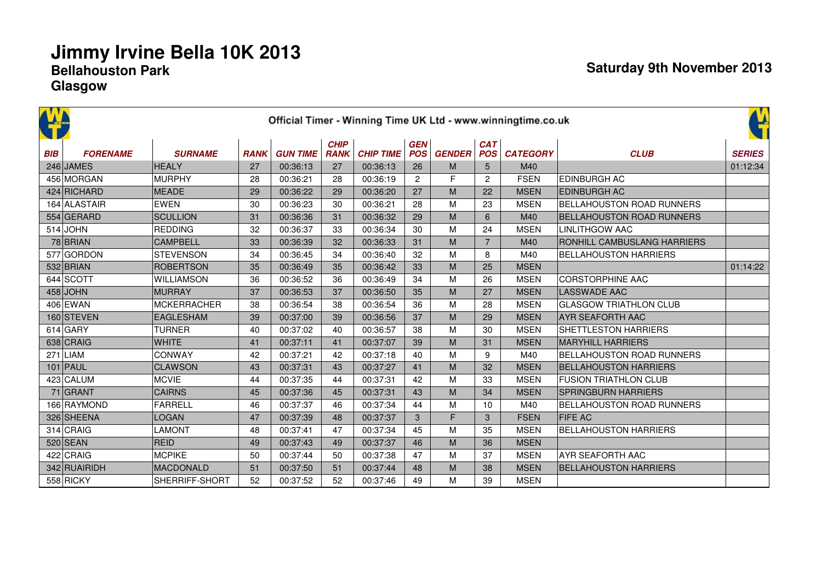|            |                 |                    |             |                 |                            |                  |                          |               |                          | Official Timer - Winning Time UK Ltd - www.winningtime.co.uk |                                    | Ľ             |
|------------|-----------------|--------------------|-------------|-----------------|----------------------------|------------------|--------------------------|---------------|--------------------------|--------------------------------------------------------------|------------------------------------|---------------|
| <b>BIB</b> | <b>FORENAME</b> | <b>SURNAME</b>     | <b>RANK</b> | <b>GUN TIME</b> | <b>CHIP</b><br><b>RANK</b> | <b>CHIP TIME</b> | <b>GEN</b><br><b>POS</b> | <b>GENDER</b> | <b>CAT</b><br><b>POS</b> | <b>CATEGORY</b>                                              | <b>CLUB</b>                        | <b>SERIES</b> |
|            | 246 JAMES       | <b>HEALY</b>       | 27          | 00:36:13        | 27                         | 00:36:13         | 26                       | M             | 5                        | M40                                                          |                                    | 01:12:34      |
|            | 456 MORGAN      | <b>MURPHY</b>      | 28          | 00:36:21        | 28                         | 00:36:19         | $\overline{2}$           | F             | $\overline{2}$           | <b>FSEN</b>                                                  | <b>EDINBURGH AC</b>                |               |
|            | 424 RICHARD     | MEADE              | 29          | 00:36:22        | 29                         | 00:36:20         | 27                       | M             | 22                       | <b>MSEN</b>                                                  | <b>EDINBURGH AC</b>                |               |
|            | 164 ALASTAIR    | <b>EWEN</b>        | 30          | 00:36:23        | 30                         | 00:36:21         | 28                       | M             | 23                       | <b>MSEN</b>                                                  | <b>BELLAHOUSTON ROAD RUNNERS</b>   |               |
|            | 554 GERARD      | <b>SCULLION</b>    | 31          | 00:36:36        | 31                         | 00:36:32         | 29                       | M             | 6                        | M40                                                          | <b>BELLAHOUSTON ROAD RUNNERS</b>   |               |
|            | $514$ JOHN      | <b>REDDING</b>     | 32          | 00:36:37        | 33                         | 00:36:34         | 30                       | M             | 24                       | <b>MSEN</b>                                                  | <b>LINLITHGOW AAC</b>              |               |
|            | 78 BRIAN        | <b>CAMPBELL</b>    | 33          | 00:36:39        | 32                         | 00:36:33         | 31                       | M             | $\overline{7}$           | M40                                                          | <b>RONHILL CAMBUSLANG HARRIERS</b> |               |
|            | 577 GORDON      | <b>STEVENSON</b>   | 34          | 00:36:45        | 34                         | 00:36:40         | 32                       | м             | 8                        | M40                                                          | <b>BELLAHOUSTON HARRIERS</b>       |               |
|            | 532 BRIAN       | <b>ROBERTSON</b>   | 35          | 00:36:49        | 35                         | 00:36:42         | 33                       | M             | 25                       | <b>MSEN</b>                                                  |                                    | 01:14:22      |
|            | 644 SCOTT       | <b>WILLIAMSON</b>  | 36          | 00:36:52        | 36                         | 00:36:49         | 34                       | M             | 26                       | <b>MSEN</b>                                                  | <b>CORSTORPHINE AAC</b>            |               |
|            | $458$ JOHN      | MURRAY             | 37          | 00:36:53        | 37                         | 00:36:50         | 35                       | M             | 27                       | <b>MSEN</b>                                                  | <b>LASSWADE AAC</b>                |               |
|            | 406 EWAN        | <b>MCKERRACHER</b> | 38          | 00:36:54        | 38                         | 00:36:54         | 36                       | M             | 28                       | <b>MSEN</b>                                                  | <b>GLASGOW TRIATHLON CLUB</b>      |               |
|            | 160 STEVEN      | <b>EAGLESHAM</b>   | 39          | 00:37:00        | 39                         | 00:36:56         | 37                       | M             | 29                       | <b>MSEN</b>                                                  | <b>AYR SEAFORTH AAC</b>            |               |
|            | $614$ GARY      | <b>TURNER</b>      | 40          | 00:37:02        | 40                         | 00:36:57         | 38                       | M             | 30                       | <b>MSEN</b>                                                  | <b>SHETTLESTON HARRIERS</b>        |               |
|            | 638 CRAIG       | <b>WHITE</b>       | 41          | 00:37:11        | 41                         | 00:37:07         | 39                       | M             | 31                       | <b>MSEN</b>                                                  | <b>MARYHILL HARRIERS</b>           |               |
|            | $271$ LIAM      | CONWAY             | 42          | 00:37:21        | 42                         | 00:37:18         | 40                       | M             | 9                        | M40                                                          | <b>BELLAHOUSTON ROAD RUNNERS</b>   |               |
|            | $101$ PAUL      | <b>CLAWSON</b>     | 43          | 00:37:31        | 43                         | 00:37:27         | 41                       | M             | 32                       | <b>MSEN</b>                                                  | <b>BELLAHOUSTON HARRIERS</b>       |               |
|            | 423 CALUM       | <b>MCVIE</b>       | 44          | 00:37:35        | 44                         | 00:37:31         | 42                       | M             | 33                       | <b>MSEN</b>                                                  | <b>FUSION TRIATHLON CLUB</b>       |               |
|            | $71$ GRANT      | <b>CAIRNS</b>      | 45          | 00:37:36        | 45                         | 00:37:31         | 43                       | M             | 34                       | <b>MSEN</b>                                                  | <b>SPRINGBURN HARRIERS</b>         |               |
|            | 166 RAYMOND     | <b>FARRELL</b>     | 46          | 00:37:37        | 46                         | 00:37:34         | 44                       | м             | 10                       | M40                                                          | <b>BELLAHOUSTON ROAD RUNNERS</b>   |               |
|            | 326 SHEENA      | <b>LOGAN</b>       | 47          | 00:37:39        | 48                         | 00:37:37         | 3                        | F             | 3                        | <b>FSEN</b>                                                  | <b>FIFE AC</b>                     |               |
|            | 314 CRAIG       | <b>LAMONT</b>      | 48          | 00:37:41        | 47                         | 00:37:34         | 45                       | M             | 35                       | <b>MSEN</b>                                                  | <b>BELLAHOUSTON HARRIERS</b>       |               |
|            | $520$ SEAN      | <b>REID</b>        | 49          | 00:37:43        | 49                         | 00:37:37         | 46                       | M             | 36                       | <b>MSEN</b>                                                  |                                    |               |
|            | 422 CRAIG       | MCPIKE             | 50          | 00:37:44        | 50                         | 00:37:38         | 47                       | M             | 37                       | <b>MSEN</b>                                                  | <b>AYR SEAFORTH AAC</b>            |               |
|            | 342 RUAIRIDH    | MACDONALD          | 51          | 00:37:50        | 51                         | 00:37:44         | 48                       | M             | 38                       | <b>MSEN</b>                                                  | <b>BELLAHOUSTON HARRIERS</b>       |               |
|            | 558 RICKY       | SHERRIFF-SHORT     | 52          | 00:37:52        | 52                         | 00:37:46         | 49                       | M             | 39                       | <b>MSEN</b>                                                  |                                    |               |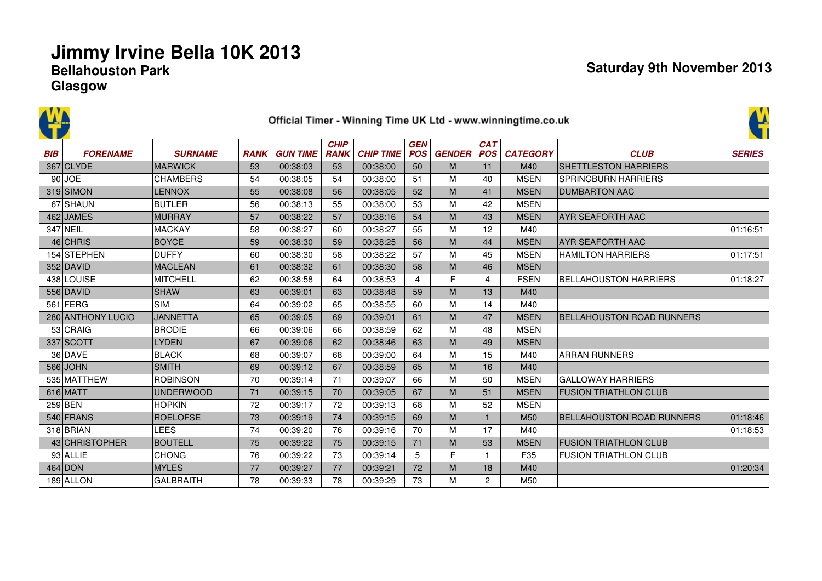|            |                   |                  |             |                 |                            |                  |                          |               |                          | Official Timer - Winning Time UK Ltd - www.winningtime.co.uk |                                  | 앀             |
|------------|-------------------|------------------|-------------|-----------------|----------------------------|------------------|--------------------------|---------------|--------------------------|--------------------------------------------------------------|----------------------------------|---------------|
| <b>BIB</b> | <b>FORENAME</b>   | <b>SURNAME</b>   | <b>RANK</b> | <b>GUN TIME</b> | <b>CHIP</b><br><b>RANK</b> | <b>CHIP TIME</b> | <b>GEN</b><br><b>POS</b> | <b>GENDER</b> | <b>CAT</b><br><b>POS</b> | <b>CATEGORY</b>                                              | <b>CLUB</b>                      | <b>SERIES</b> |
|            | $367$ CLYDE       | <b>MARWICK</b>   | 53          | 00:38:03        | 53                         | 00:38:00         | 50                       | M             | 11                       | M40                                                          | <b>SHETTLESTON HARRIERS</b>      |               |
|            | $90$ JOE          | <b>CHAMBERS</b>  | 54          | 00:38:05        | 54                         | 00:38:00         | 51                       | M             | 40                       | <b>MSEN</b>                                                  | <b>SPRINGBURN HARRIERS</b>       |               |
|            | $319$ SIMON       | <b>LENNOX</b>    | 55          | 00:38:08        | 56                         | 00:38:05         | 52                       | M             | 41                       | <b>MSEN</b>                                                  | <b>DUMBARTON AAC</b>             |               |
|            | 67 SHAUN          | <b>BUTLER</b>    | 56          | 00:38:13        | 55                         | 00:38:00         | 53                       | M             | 42                       | <b>MSEN</b>                                                  |                                  |               |
|            | 462 JAMES         | MURRAY           | 57          | 00:38:22        | 57                         | 00:38:16         | 54                       | M             | 43                       | <b>MSEN</b>                                                  | <b>AYR SEAFORTH AAC</b>          |               |
|            | 347 NEIL          | <b>MACKAY</b>    | 58          | 00:38:27        | 60                         | 00:38:27         | 55                       | M             | 12                       | M40                                                          |                                  | 01:16:51      |
|            | $46$ CHRIS        | <b>BOYCE</b>     | 59          | 00:38:30        | 59                         | 00:38:25         | 56                       | M             | 44                       | <b>MSEN</b>                                                  | <b>AYR SEAFORTH AAC</b>          |               |
|            | 154 STEPHEN       | <b>DUFFY</b>     | 60          | 00:38:30        | 58                         | 00:38:22         | 57                       | M             | 45                       | <b>MSEN</b>                                                  | <b>HAMILTON HARRIERS</b>         | 01:17:51      |
|            | $352$ DAVID       | <b>MACLEAN</b>   | 61          | 00:38:32        | 61                         | 00:38:30         | 58                       | M             | 46                       | <b>MSEN</b>                                                  |                                  |               |
|            | 438 LOUISE        | <b>MITCHELL</b>  | 62          | 00:38:58        | 64                         | 00:38:53         | 4                        | F             | 4                        | <b>FSEN</b>                                                  | <b>BELLAHOUSTON HARRIERS</b>     | 01:18:27      |
|            | 556 DAVID         | <b>SHAW</b>      | 63          | 00:39:01        | 63                         | 00:38:48         | 59                       | M             | 13                       | M40                                                          |                                  |               |
|            | $561$ FERG        | <b>SIM</b>       | 64          | 00:39:02        | 65                         | 00:38:55         | 60                       | M             | 14                       | M40                                                          |                                  |               |
|            | 280 ANTHONY LUCIO | <b>JANNETTA</b>  | 65          | 00:39:05        | 69                         | 00:39:01         | 61                       | M             | 47                       | <b>MSEN</b>                                                  | <b>BELLAHOUSTON ROAD RUNNERS</b> |               |
|            | $53$ CRAIG        | <b>BRODIE</b>    | 66          | 00:39:06        | 66                         | 00:38:59         | 62                       | M             | 48                       | <b>MSEN</b>                                                  |                                  |               |
|            | 337 SCOTT         | <b>LYDEN</b>     | 67          | 00:39:06        | 62                         | 00:38:46         | 63                       | M             | 49                       | <b>MSEN</b>                                                  |                                  |               |
|            | $36$ DAVE         | <b>BLACK</b>     | 68          | 00:39:07        | 68                         | 00:39:00         | 64                       | M             | 15                       | M40                                                          | <b>ARRAN RUNNERS</b>             |               |
|            | $566$ JOHN        | <b>SMITH</b>     | 69          | 00:39:12        | 67                         | 00:38:59         | 65                       | M             | 16                       | M40                                                          |                                  |               |
|            | 535 MATTHEW       | <b>ROBINSON</b>  | 70          | 00:39:14        | 71                         | 00:39:07         | 66                       | M             | 50                       | <b>MSEN</b>                                                  | <b>GALLOWAY HARRIERS</b>         |               |
|            | $616$ MATT        | <b>UNDERWOOD</b> | 71          | 00:39:15        | 70                         | 00:39:05         | 67                       | M             | 51                       | <b>MSEN</b>                                                  | <b>FUSION TRIATHLON CLUB</b>     |               |
|            | $259$ BEN         | <b>HOPKIN</b>    | 72          | 00:39:17        | 72                         | 00:39:13         | 68                       | M             | 52                       | <b>MSEN</b>                                                  |                                  |               |
|            | 540 FRANS         | <b>ROELOFSE</b>  | 73          | 00:39:19        | 74                         | 00:39:15         | 69                       | M             |                          | M <sub>50</sub>                                              | <b>BELLAHOUSTON ROAD RUNNERS</b> | 01:18:46      |
|            | 318 BRIAN         | LEES             | 74          | 00:39:20        | 76                         | 00:39:16         | 70                       | M             | 17                       | M40                                                          |                                  | 01:18:53      |
|            | 43 CHRISTOPHER    | <b>BOUTELL</b>   | 75          | 00:39:22        | 75                         | 00:39:15         | 71                       | M             | 53                       | <b>MSEN</b>                                                  | <b>FUSION TRIATHLON CLUB</b>     |               |
|            | $93$ ALLIE        | <b>CHONG</b>     | 76          | 00:39:22        | 73                         | 00:39:14         | 5                        | F             | 1                        | F35                                                          | <b>FUSION TRIATHLON CLUB</b>     |               |
|            | 464 DOM           | <b>MYLES</b>     | 77          | 00:39:27        | 77                         | 00:39:21         | 72                       | M             | 18                       | M40                                                          |                                  | 01:20:34      |
|            | $189$ ALLON       | <b>GALBRAITH</b> | 78          | 00:39:33        | 78                         | 00:39:29         | 73                       | M             | $\mathbf{2}^{\prime}$    | M50                                                          |                                  |               |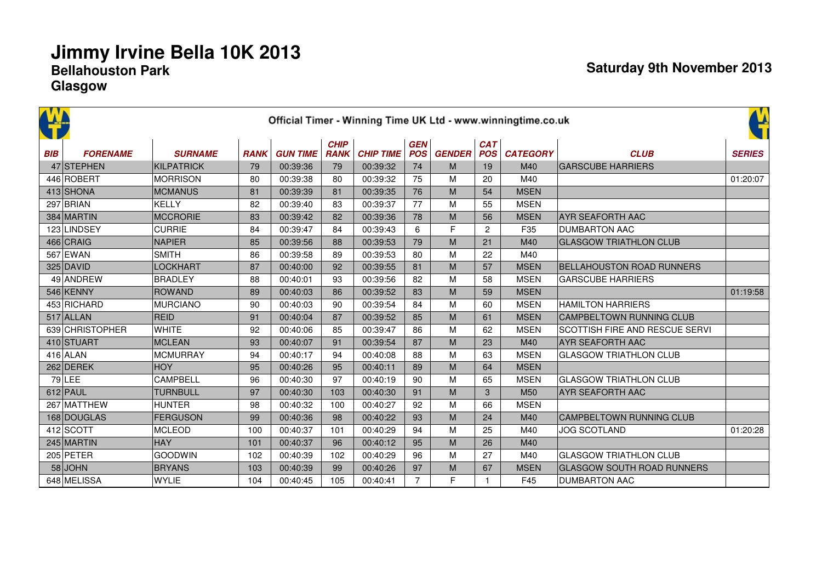|            |                 |                   |             |                 |                            |                  |                          |               |                          | Official Timer - Winning Time UK Ltd - www.winningtime.co.uk |                                   | Ľ             |
|------------|-----------------|-------------------|-------------|-----------------|----------------------------|------------------|--------------------------|---------------|--------------------------|--------------------------------------------------------------|-----------------------------------|---------------|
| <b>BIB</b> | <b>FORENAME</b> | <b>SURNAME</b>    | <b>RANK</b> | <b>GUN TIME</b> | <b>CHIP</b><br><b>RANK</b> | <b>CHIP TIME</b> | <b>GEN</b><br><b>POS</b> | <b>GENDER</b> | <b>CAT</b><br><b>POS</b> | <b>CATEGORY</b>                                              | <b>CLUB</b>                       | <b>SERIES</b> |
|            | 47 STEPHEN      | <b>KILPATRICK</b> | 79          | 00:39:36        | 79                         | 00:39:32         | 74                       | M             | 19                       | M40                                                          | <b>GARSCUBE HARRIERS</b>          |               |
|            | 446 ROBERT      | <b>MORRISON</b>   | 80          | 00:39:38        | 80                         | 00:39:32         | 75                       | M             | 20                       | M40                                                          |                                   | 01:20:07      |
|            | 413 SHONA       | <b>MCMANUS</b>    | 81          | 00:39:39        | 81                         | 00:39:35         | 76                       | M             | 54                       | <b>MSEN</b>                                                  |                                   |               |
|            | $297$ BRIAN     | <b>KELLY</b>      | 82          | 00:39:40        | 83                         | 00:39:37         | 77                       | м             | 55                       | <b>MSEN</b>                                                  |                                   |               |
|            | 384 MARTIN      | <b>MCCRORIE</b>   | 83          | 00:39:42        | 82                         | 00:39:36         | 78                       | M             | 56                       | <b>MSEN</b>                                                  | <b>AYR SEAFORTH AAC</b>           |               |
|            | 123 LINDSEY     | <b>CURRIE</b>     | 84          | 00:39:47        | 84                         | 00:39:43         | 6                        | F             | 2                        | F35                                                          | <b>DUMBARTON AAC</b>              |               |
|            | 466 CRAIG       | <b>NAPIER</b>     | 85          | 00:39:56        | 88                         | 00:39:53         | 79                       | M             | 21                       | M40                                                          | <b>GLASGOW TRIATHLON CLUB</b>     |               |
|            | 567 EWAN        | <b>SMITH</b>      | 86          | 00:39:58        | 89                         | 00:39:53         | 80                       | M             | 22                       | M40                                                          |                                   |               |
|            | $325$ DAVID     | <b>LOCKHART</b>   | 87          | 00:40:00        | 92                         | 00:39:55         | 81                       | M             | 57                       | <b>MSEN</b>                                                  | <b>BELLAHOUSTON ROAD RUNNERS</b>  |               |
|            | 49 ANDREW       | <b>BRADLEY</b>    | 88          | 00:40:01        | 93                         | 00:39:56         | 82                       | M             | 58                       | <b>MSEN</b>                                                  | <b>GARSCUBE HARRIERS</b>          |               |
|            | 546 KENNY       | <b>ROWAND</b>     | 89          | 00:40:03        | 86                         | 00:39:52         | 83                       | M             | 59                       | <b>MSEN</b>                                                  |                                   | 01:19:58      |
|            | 453 RICHARD     | <b>MURCIANO</b>   | 90          | 00:40:03        | 90                         | 00:39:54         | 84                       | M             | 60                       | <b>MSEN</b>                                                  | <b>HAMILTON HARRIERS</b>          |               |
|            | $517$ ALLAN     | <b>REID</b>       | 91          | 00:40:04        | 87                         | 00:39:52         | 85                       | M             | 61                       | <b>MSEN</b>                                                  | <b>CAMPBELTOWN RUNNING CLUB</b>   |               |
|            | 639 CHRISTOPHER | <b>WHITE</b>      | 92          | 00:40:06        | 85                         | 00:39:47         | 86                       | M             | 62                       | <b>MSEN</b>                                                  | SCOTTISH FIRE AND RESCUE SERVI    |               |
|            | 410 STUART      | <b>MCLEAN</b>     | 93          | 00:40:07        | 91                         | 00:39:54         | 87                       | M             | 23                       | M40                                                          | <b>AYR SEAFORTH AAC</b>           |               |
|            | $416$ ALAN      | <b>MCMURRAY</b>   | 94          | 00:40:17        | 94                         | 00:40:08         | 88                       | M             | 63                       | <b>MSEN</b>                                                  | <b>GLASGOW TRIATHLON CLUB</b>     |               |
|            | 262 DEREK       | <b>HOY</b>        | 95          | 00:40:26        | 95                         | 00:40:11         | 89                       | M             | 64                       | <b>MSEN</b>                                                  |                                   |               |
|            | $79$ LEE        | CAMPBELL          | 96          | 00:40:30        | 97                         | 00:40:19         | 90                       | M             | 65                       | <b>MSEN</b>                                                  | <b>GLASGOW TRIATHLON CLUB</b>     |               |
|            | $612$ PAUL      | <b>TURNBULL</b>   | 97          | 00:40:30        | 103                        | 00:40:30         | 91                       | M             | 3                        | M <sub>50</sub>                                              | <b>AYR SEAFORTH AAC</b>           |               |
|            | 267 MATTHEW     | <b>HUNTER</b>     | 98          | 00:40:32        | 100                        | 00:40:27         | 92                       | M             | 66                       | <b>MSEN</b>                                                  |                                   |               |
|            | 168 DOUGLAS     | <b>FERGUSON</b>   | 99          | 00:40:36        | 98                         | 00:40:22         | 93                       | M             | 24                       | M40                                                          | CAMPBELTOWN RUNNING CLUB          |               |
|            | 412 SCOTT       | <b>MCLEOD</b>     | 100         | 00:40:37        | 101                        | 00:40:29         | 94                       | M             | 25                       | M40                                                          | <b>JOG SCOTLAND</b>               | 01:20:28      |
|            | 245 MARTIN      | <b>HAY</b>        | 101         | 00:40:37        | 96                         | 00:40:12         | 95                       | M             | 26                       | M40                                                          |                                   |               |
|            | 205 PETER       | <b>GOODWIN</b>    | 102         | 00:40:39        | 102                        | 00:40:29         | 96                       | M             | 27                       | M40                                                          | <b>GLASGOW TRIATHLON CLUB</b>     |               |
|            | $58$ JOHN       | <b>BRYANS</b>     | 103         | 00:40:39        | 99                         | 00:40:26         | 97                       | M             | 67                       | <b>MSEN</b>                                                  | <b>GLASGOW SOUTH ROAD RUNNERS</b> |               |
|            | 648 MELISSA     | <b>WYLIE</b>      | 104         | 00:40:45        | 105                        | 00:40:41         | $\overline{7}$           | F             |                          | F45                                                          | <b>DUMBARTON AAC</b>              |               |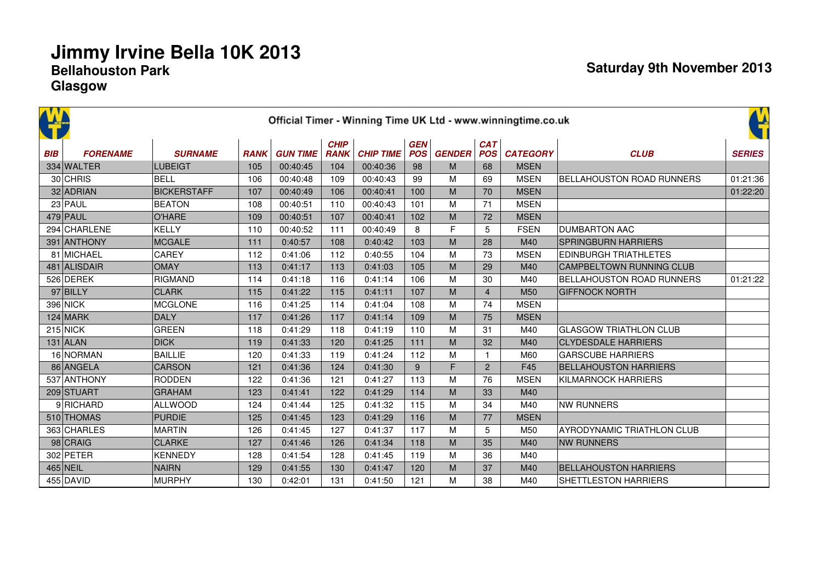|            |                 |                    |             |                 |                            |                  |                          |               |                          | Official Timer - Winning Time UK Ltd - www.winningtime.co.uk |                                  | ¥             |
|------------|-----------------|--------------------|-------------|-----------------|----------------------------|------------------|--------------------------|---------------|--------------------------|--------------------------------------------------------------|----------------------------------|---------------|
| <b>BIB</b> | <b>FORENAME</b> | <b>SURNAME</b>     | <b>RANK</b> | <b>GUN TIME</b> | <b>CHIP</b><br><b>RANK</b> | <b>CHIP TIME</b> | <b>GEN</b><br><b>POS</b> | <b>GENDER</b> | <b>CAT</b><br><b>POS</b> | <b>CATEGORY</b>                                              | <b>CLUB</b>                      | <b>SERIES</b> |
|            | 334 WALTER      | <b>LUBEIGT</b>     | 105         | 00:40:45        | 104                        | 00:40:36         | 98                       | M             | 68                       | <b>MSEN</b>                                                  |                                  |               |
|            | 30 CHRIS        | BELL               | 106         | 00:40:48        | 109                        | 00:40:43         | 99                       | м             | 69                       | <b>MSEN</b>                                                  | BELLAHOUSTON ROAD RUNNERS        | 01:21:36      |
|            | 32 ADRIAN       | <b>BICKERSTAFF</b> | 107         | 00:40:49        | 106                        | 00:40:41         | 100                      | M             | 70                       | <b>MSEN</b>                                                  |                                  | 01:22:20      |
|            | $23$ PAUL       | <b>BEATON</b>      | 108         | 00:40:51        | 110                        | 00:40:43         | 101                      | M             | 71                       | <b>MSEN</b>                                                  |                                  |               |
|            | $479$ PAUL      | <b>O'HARE</b>      | 109         | 00:40:51        | 107                        | 00:40:41         | 102                      | M             | 72                       | <b>MSEN</b>                                                  |                                  |               |
|            | 294 CHARLENE    | <b>KELLY</b>       | 110         | 00:40:52        | 111                        | 00:40:49         | 8                        | F             | 5                        | <b>FSEN</b>                                                  | <b>DUMBARTON AAC</b>             |               |
|            | 391 ANTHONY     | <b>MCGALE</b>      | 111         | 0:40:57         | 108                        | 0:40:42          | 103                      | M             | 28                       | M40                                                          | <b>SPRINGBURN HARRIERS</b>       |               |
|            | 81 MICHAEL      | CAREY              | 112         | 0:41:06         | 112                        | 0:40:55          | 104                      | M             | 73                       | <b>MSEN</b>                                                  | <b>EDINBURGH TRIATHLETES</b>     |               |
|            | 481 ALISDAIR    | <b>OMAY</b>        | 113         | 0:41:17         | 113                        | 0:41:03          | 105                      | M             | 29                       | M40                                                          | CAMPBELTOWN RUNNING CLUB         |               |
|            | 526 DEREK       | <b>RIGMAND</b>     | 114         | 0:41:18         | 116                        | 0:41:14          | 106                      | M             | 30                       | M40                                                          | <b>BELLAHOUSTON ROAD RUNNERS</b> | 01:21:22      |
|            | $97$ BILLY      | <b>CLARK</b>       | 115         | 0:41:22         | 115                        | 0:41:11          | 107                      | M             | $\overline{4}$           | M <sub>50</sub>                                              | <b>GIFFNOCK NORTH</b>            |               |
|            | 396 NICK        | <b>MCGLONE</b>     | 116         | 0:41:25         | 114                        | 0:41:04          | 108                      | M             | 74                       | <b>MSEN</b>                                                  |                                  |               |
|            | $124$ MARK      | <b>DALY</b>        | 117         | 0:41:26         | 117                        | 0:41:14          | 109                      | M             | 75                       | <b>MSEN</b>                                                  |                                  |               |
|            | $215$ NICK      | <b>GREEN</b>       | 118         | 0:41:29         | 118                        | 0:41:19          | 110                      | M             | 31                       | M40                                                          | <b>GLASGOW TRIATHLON CLUB</b>    |               |
|            | $131$ ALAN      | <b>DICK</b>        | 119         | 0:41:33         | 120                        | 0:41:25          | $111$                    | M             | 32                       | M40                                                          | <b>CLYDESDALE HARRIERS</b>       |               |
|            | 16 NORMAN       | <b>BAILLIE</b>     | 120         | 0:41:33         | 119                        | 0:41:24          | 112                      | M             | $\mathbf{1}$             | M60                                                          | <b>GARSCUBE HARRIERS</b>         |               |
|            | 86 ANGELA       | <b>CARSON</b>      | 121         | 0:41:36         | 124                        | 0:41:30          | 9                        | F             | $\overline{2}$           | F45                                                          | <b>BELLAHOUSTON HARRIERS</b>     |               |
|            | 537 ANTHONY     | <b>RODDEN</b>      | 122         | 0:41:36         | 121                        | 0:41:27          | 113                      | M             | 76                       | <b>MSEN</b>                                                  | <b>KILMARNOCK HARRIERS</b>       |               |
|            | 209 STUART      | <b>GRAHAM</b>      | 123         | 0:41:41         | 122                        | 0:41:29          | 114                      | M             | 33                       | M40                                                          |                                  |               |
|            | 9RICHARD        | <b>ALLWOOD</b>     | 124         | 0:41:44         | 125                        | 0:41:32          | 115                      | M             | 34                       | M40                                                          | <b>NW RUNNERS</b>                |               |
|            | 510 THOMAS      | <b>PURDIE</b>      | 125         | 0:41:45         | 123                        | 0:41:29          | 116                      | M             | 77                       | <b>MSEN</b>                                                  |                                  |               |
|            | 363 CHARLES     | <b>MARTIN</b>      | 126         | 0:41:45         | 127                        | 0:41:37          | 117                      | M             | 5                        | M50                                                          | AYRODYNAMIC TRIATHLON CLUB       |               |
|            | 98 CRAIG        | <b>CLARKE</b>      | 127         | 0:41:46         | 126                        | 0:41:34          | 118                      | M             | 35                       | M40                                                          | <b>NW RUNNERS</b>                |               |
|            | 302 PETER       | <b>KENNEDY</b>     | 128         | 0:41:54         | 128                        | 0:41:45          | 119                      | M             | 36                       | M40                                                          |                                  |               |
|            | 465 NEIL        | <b>NAIRN</b>       | 129         | 0:41:55         | 130                        | 0:41:47          | 120                      | M             | 37                       | M40                                                          | <b>BELLAHOUSTON HARRIERS</b>     |               |
|            | 455 DAVID       | <b>MURPHY</b>      | 130         | 0:42:01         | 131                        | 0:41:50          | 121                      | M             | 38                       | M40                                                          | SHETTLESTON HARRIERS             |               |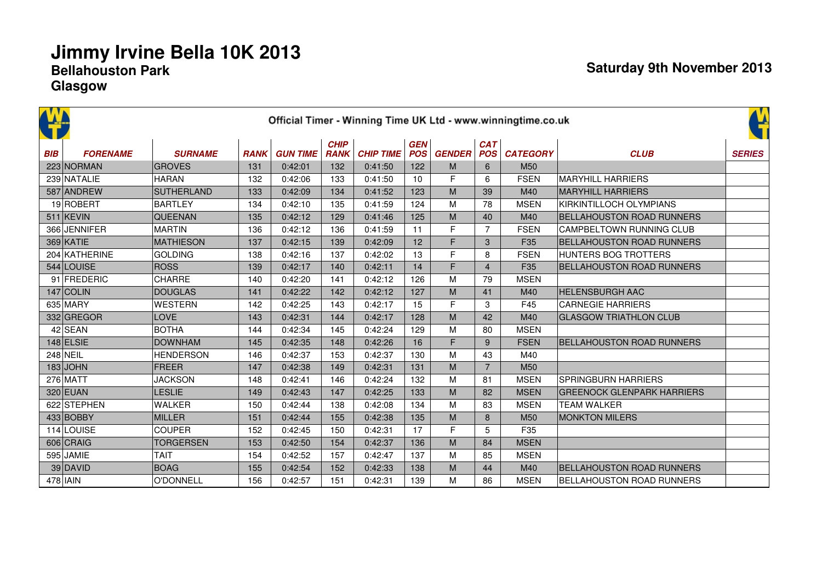|            |                 |                   |             |                 | <b>CHIP</b> |                  | <b>GEN</b> |               | <b>CAT</b>     | Official Timer - Winning Time UK Ltd - www.winningtime.co.uk |                                   | Ľ             |
|------------|-----------------|-------------------|-------------|-----------------|-------------|------------------|------------|---------------|----------------|--------------------------------------------------------------|-----------------------------------|---------------|
| <b>BIB</b> | <b>FORENAME</b> | <b>SURNAME</b>    | <b>RANK</b> | <b>GUN TIME</b> | <b>RANK</b> | <b>CHIP TIME</b> | <b>POS</b> | <b>GENDER</b> | <b>POS</b>     | <b>CATEGORY</b>                                              | <b>CLUB</b>                       | <b>SERIES</b> |
|            | 223 NORMAN      | <b>GROVES</b>     | 131         | 0:42:01         | 132         | 0:41:50          | 122        | M             | 6              | M <sub>50</sub>                                              |                                   |               |
|            | 239 NATALIE     | <b>HARAN</b>      | 132         | 0:42:06         | 133         | 0:41:50          | 10         | F             | 6              | <b>FSEN</b>                                                  | <b>MARYHILL HARRIERS</b>          |               |
|            | 587 ANDREW      | <b>SUTHERLAND</b> | 133         | 0:42:09         | 134         | 0:41:52          | 123        | M             | 39             | M40                                                          | <b>MARYHILL HARRIERS</b>          |               |
|            | 19 ROBERT       | <b>BARTLEY</b>    | 134         | 0:42:10         | 135         | 0:41:59          | 124        | M             | 78             | <b>MSEN</b>                                                  | KIRKINTILLOCH OLYMPIANS           |               |
|            | $511$ KEVIN     | <b>QUEENAN</b>    | 135         | 0:42:12         | 129         | 0:41:46          | 125        | M             | 40             | M40                                                          | <b>BELLAHOUSTON ROAD RUNNERS</b>  |               |
|            | 366 JENNIFER    | <b>MARTIN</b>     | 136         | 0:42:12         | 136         | 0:41:59          | 11         | F             | $\overline{7}$ | <b>FSEN</b>                                                  | CAMPBELTOWN RUNNING CLUB          |               |
|            | $369$ KATIE     | <b>MATHIESON</b>  | 137         | 0:42:15         | 139         | 0:42:09          | 12         | F             | 3              | F35                                                          | <b>BELLAHOUSTON ROAD RUNNERS</b>  |               |
|            | 204 KATHERINE   | <b>GOLDING</b>    | 138         | 0:42:16         | 137         | 0:42:02          | 13         | F             | 8              | <b>FSEN</b>                                                  | <b>HUNTERS BOG TROTTERS</b>       |               |
|            | 544 LOUISE      | <b>ROSS</b>       | 139         | 0:42:17         | 140         | 0:42:11          | 14         | F             | $\overline{4}$ | F35                                                          | <b>BELLAHOUSTON ROAD RUNNERS</b>  |               |
|            | 91 FREDERIC     | <b>CHARRE</b>     | 140         | 0:42:20         | 141         | 0:42:12          | 126        | M             | 79             | <b>MSEN</b>                                                  |                                   |               |
|            | $147$ COLIN     | <b>DOUGLAS</b>    | 141         | 0:42:22         | 142         | 0:42:12          | 127        | M             | 41             | M40                                                          | <b>HELENSBURGH AAC</b>            |               |
|            | 635 MARY        | <b>WESTERN</b>    | 142         | 0:42:25         | 143         | 0:42:17          | 15         | F             | 3              | F45                                                          | <b>CARNEGIE HARRIERS</b>          |               |
|            | 332 GREGOR      | <b>LOVE</b>       | 143         | 0:42:31         | 144         | 0:42:17          | 128        | M             | 42             | M40                                                          | <b>GLASGOW TRIATHLON CLUB</b>     |               |
|            | $42$ SEAN       | <b>BOTHA</b>      | 144         | 0:42:34         | 145         | 0:42:24          | 129        | M             | 80             | <b>MSEN</b>                                                  |                                   |               |
|            | $148$ ELSIE     | <b>DOWNHAM</b>    | 145         | 0:42:35         | 148         | 0:42:26          | 16         | F             | 9              | <b>FSEN</b>                                                  | <b>BELLAHOUSTON ROAD RUNNERS</b>  |               |
|            | 248 NEIL        | <b>HENDERSON</b>  | 146         | 0:42:37         | 153         | 0:42:37          | 130        | M             | 43             | M40                                                          |                                   |               |
|            | $183$ JOHN      | <b>FREER</b>      | 147         | 0:42:38         | 149         | 0:42:31          | 131        | M             | $\overline{7}$ | M50                                                          |                                   |               |
|            | $276$ MATT      | <b>JACKSON</b>    | 148         | 0:42:41         | 146         | 0:42:24          | 132        | M             | 81             | <b>MSEN</b>                                                  | <b>SPRINGBURN HARRIERS</b>        |               |
|            | 320 EUAN        | <b>LESLIE</b>     | 149         | 0:42:43         | 147         | 0:42:25          | 133        | M             | 82             | <b>MSEN</b>                                                  | <b>GREENOCK GLENPARK HARRIERS</b> |               |
|            | 622 STEPHEN     | <b>WALKER</b>     | 150         | 0:42:44         | 138         | 0:42:08          | 134        | M             | 83             | <b>MSEN</b>                                                  | <b>TEAM WALKER</b>                |               |
|            | 433 BOBBY       | <b>MILLER</b>     | 151         | 0:42:44         | 155         | 0:42:38          | 135        | M             | 8              | M <sub>50</sub>                                              | <b>MONKTON MILERS</b>             |               |
|            | 114 LOUISE      | <b>COUPER</b>     | 152         | 0:42:45         | 150         | 0:42:31          | 17         | F             | 5              | F35                                                          |                                   |               |
|            | 606 CRAIG       | <b>TORGERSEN</b>  | 153         | 0:42:50         | 154         | 0:42:37          | 136        | M             | 84             | <b>MSEN</b>                                                  |                                   |               |
|            | 595 JAMIE       | <b>TAIT</b>       | 154         | 0:42:52         | 157         | 0:42:47          | 137        | M             | 85             | <b>MSEN</b>                                                  |                                   |               |
|            | $39$ DAVID      | <b>BOAG</b>       | 155         | 0:42:54         | 152         | 0:42:33          | 138        | M             | 44             | M40                                                          | <b>BELLAHOUSTON ROAD RUNNERS</b>  |               |
|            | $478$ IAIN      | O'DONNELL         | 156         | 0:42:57         | 151         | 0:42:31          | 139        | M             | 86             | <b>MSEN</b>                                                  | <b>BELLAHOUSTON ROAD RUNNERS</b>  |               |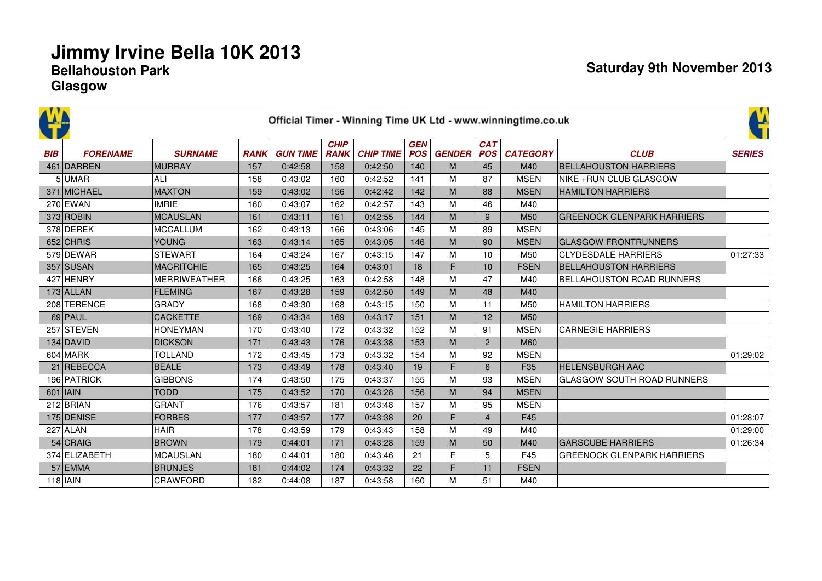|            |                 |                     |             |                 |                            |                  |                          |               |                          | Official Timer - Winning Time UK Ltd - www.winningtime.co.uk |                                   | ¥             |
|------------|-----------------|---------------------|-------------|-----------------|----------------------------|------------------|--------------------------|---------------|--------------------------|--------------------------------------------------------------|-----------------------------------|---------------|
| <b>BIB</b> | <b>FORENAME</b> | <b>SURNAME</b>      | <b>RANK</b> | <b>GUN TIME</b> | <b>CHIP</b><br><b>RANK</b> | <b>CHIP TIME</b> | <b>GEN</b><br><b>POS</b> | <b>GENDER</b> | <b>CAT</b><br><b>POS</b> | <b>CATEGORY</b>                                              | <b>CLUB</b>                       | <b>SERIES</b> |
|            | 461 DARREN      | <b>MURRAY</b>       | 157         | 0:42:58         | 158                        | 0:42:50          | 140                      | M             | 45                       | M40                                                          | <b>BELLAHOUSTON HARRIERS</b>      |               |
|            | 5UMAR           | ALI                 | 158         | 0:43:02         | 160                        | 0:42:52          | 141                      | M             | 87                       | <b>MSEN</b>                                                  | NIKE + RUN CLUB GLASGOW           |               |
|            | 371 MICHAEL     | <b>MAXTON</b>       | 159         | 0:43:02         | 156                        | 0:42:42          | 142                      | M             | 88                       | <b>MSEN</b>                                                  | <b>HAMILTON HARRIERS</b>          |               |
|            | $270$ EWAN      | <b>IMRIE</b>        | 160         | 0:43:07         | 162                        | 0:42:57          | 143                      | M             | 46                       | M40                                                          |                                   |               |
|            | $373$ ROBIN     | <b>MCAUSLAN</b>     | 161         | 0:43:11         | 161                        | 0:42:55          | 144                      | M             | 9                        | M <sub>50</sub>                                              | <b>GREENOCK GLENPARK HARRIERS</b> |               |
|            | 378 DEREK       | <b>MCCALLUM</b>     | 162         | 0:43:13         | 166                        | 0:43:06          | 145                      | M             | 89                       | <b>MSEN</b>                                                  |                                   |               |
|            | 652 CHRIS       | <b>YOUNG</b>        | 163         | 0:43:14         | 165                        | 0:43:05          | 146                      | M             | 90                       | <b>MSEN</b>                                                  | <b>GLASGOW FRONTRUNNERS</b>       |               |
|            | 579 DEWAR       | <b>STEWART</b>      | 164         | 0:43:24         | 167                        | 0:43:15          | 147                      | м             | 10                       | M50                                                          | <b>CLYDESDALE HARRIERS</b>        | 01:27:33      |
|            | 357 SUSAN       | <b>MACRITCHIE</b>   | 165         | 0:43:25         | 164                        | 0:43:01          | 18                       | F             | 10                       | <b>FSEN</b>                                                  | <b>BELLAHOUSTON HARRIERS</b>      |               |
|            | 427 HENRY       | <b>MERRIWEATHER</b> | 166         | 0:43:25         | 163                        | 0:42:58          | 148                      | M             | 47                       | M40                                                          | <b>BELLAHOUSTON ROAD RUNNERS</b>  |               |
|            | $173$ ALLAN     | <b>FLEMING</b>      | 167         | 0:43:28         | 159                        | 0:42:50          | 149                      | M             | 48                       | M40                                                          |                                   |               |
|            | 208 TERENCE     | <b>GRADY</b>        | 168         | 0:43:30         | 168                        | 0:43:15          | 150                      | M             | 11                       | M50                                                          | <b>HAMILTON HARRIERS</b>          |               |
|            | $69$ PAUL       | <b>CACKETTE</b>     | 169         | 0:43:34         | 169                        | 0:43:17          | 151                      | M             | 12                       | M <sub>50</sub>                                              |                                   |               |
|            | 257 STEVEN      | <b>HONEYMAN</b>     | 170         | 0:43:40         | 172                        | 0:43:32          | 152                      | M             | 91                       | <b>MSEN</b>                                                  | <b>CARNEGIE HARRIERS</b>          |               |
|            | $134$ DAVID     | <b>DICKSON</b>      | 171         | 0:43:43         | 176                        | 0:43:38          | 153                      | M             | $\overline{2}$           | <b>M60</b>                                                   |                                   |               |
|            | $604$ MARK      | <b>TOLLAND</b>      | 172         | 0:43:45         | 173                        | 0:43:32          | 154                      | M             | 92                       | <b>MSEN</b>                                                  |                                   | 01:29:02      |
|            | 21 REBECCA      | <b>BEALE</b>        | 173         | 0:43:49         | 178                        | 0:43:40          | 19                       | F             | 6                        | F <sub>35</sub>                                              | <b>HELENSBURGH AAC</b>            |               |
|            | 196 PATRICK     | <b>GIBBONS</b>      | 174         | 0:43:50         | 175                        | 0:43:37          | 155                      | M             | 93                       | <b>MSEN</b>                                                  | <b>GLASGOW SOUTH ROAD RUNNERS</b> |               |
|            | $601$   IAIN    | <b>TODD</b>         | 175         | 0:43:52         | 170                        | 0:43:28          | 156                      | M             | 94                       | <b>MSEN</b>                                                  |                                   |               |
|            | $212$ BRIAN     | <b>GRANT</b>        | 176         | 0:43:57         | 181                        | 0:43:48          | 157                      | M             | 95                       | <b>MSEN</b>                                                  |                                   |               |
|            | 175 DENISE      | <b>FORBES</b>       | 177         | 0:43:57         | 177                        | 0:43:38          | 20                       | F             | $\overline{4}$           | F45                                                          |                                   | 01:28:07      |
|            | $227$ ALAN      | <b>HAIR</b>         | 178         | 0:43:59         | 179                        | 0:43:43          | 158                      | M             | 49                       | M40                                                          |                                   | 01:29:00      |
|            | $54$ CRAIG      | <b>BROWN</b>        | 179         | 0:44:01         | 171                        | 0:43:28          | 159                      | M             | 50                       | M40                                                          | <b>GARSCUBE HARRIERS</b>          | 01:26:34      |
|            | 374 ELIZABETH   | <b>MCAUSLAN</b>     | 180         | 0:44:01         | 180                        | 0:43:46          | 21                       | F             | 5                        | F45                                                          | <b>GREENOCK GLENPARK HARRIERS</b> |               |
|            | $57$ EMMA       | <b>BRUNJES</b>      | 181         | 0:44:02         | 174                        | 0:43:32          | 22                       | F             | 11                       | <b>FSEN</b>                                                  |                                   |               |
|            | $118$   IAIN    | CRAWFORD            | 182         | 0:44:08         | 187                        | 0:43:58          | 160                      | M             | 51                       | M40                                                          |                                   |               |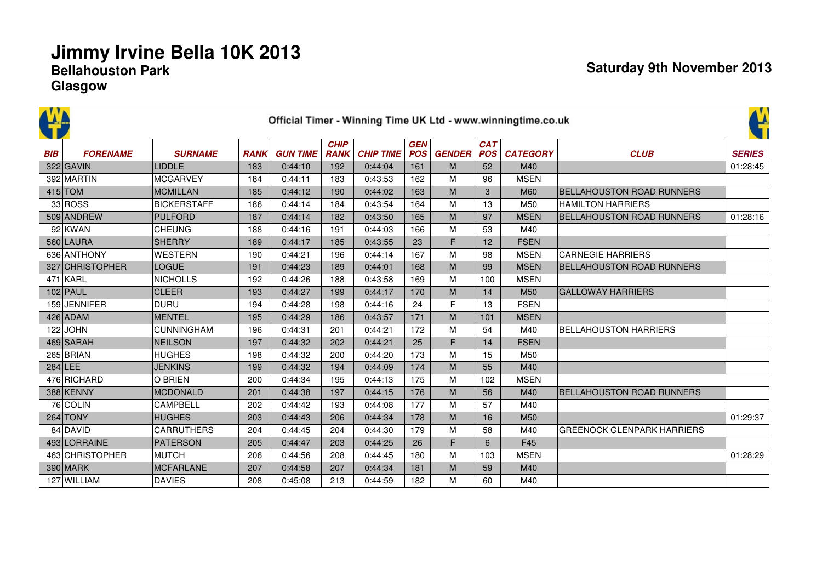|            |                 |                    |             |                 |                            |                  |                          |               |                          | Official Timer - Winning Time UK Ltd - www.winningtime.co.uk |                                   | 앀             |
|------------|-----------------|--------------------|-------------|-----------------|----------------------------|------------------|--------------------------|---------------|--------------------------|--------------------------------------------------------------|-----------------------------------|---------------|
| <b>BIB</b> | <b>FORENAME</b> | <b>SURNAME</b>     | <b>RANK</b> | <b>GUN TIME</b> | <b>CHIP</b><br><b>RANK</b> | <b>CHIP TIME</b> | <b>GEN</b><br><b>POS</b> | <b>GENDER</b> | <b>CAT</b><br><b>POS</b> | <b>CATEGORY</b>                                              | <b>CLUB</b>                       | <b>SERIES</b> |
|            | 322 GAVIN       | <b>LIDDLE</b>      | 183         | 0:44:10         | 192                        | 0:44:04          | 161                      | M             | 52                       | M40                                                          |                                   | 01:28:45      |
|            | 392 MARTIN      | MCGARVEY           | 184         | 0:44:11         | 183                        | 0:43:53          | 162                      | M             | 96                       | <b>MSEN</b>                                                  |                                   |               |
|            | $415$ TOM       | <b>MCMILLAN</b>    | 185         | 0:44:12         | 190                        | 0:44:02          | 163                      | M             | 3                        | M60                                                          | <b>BELLAHOUSTON ROAD RUNNERS</b>  |               |
|            | 33 ROS          | <b>BICKERSTAFF</b> | 186         | 0:44:14         | 184                        | 0:43:54          | 164                      | M             | 13                       | M50                                                          | <b>HAMILTON HARRIERS</b>          |               |
|            | 509 ANDREW      | PULFORD            | 187         | 0:44:14         | 182                        | 0:43:50          | 165                      | M             | 97                       | <b>MSEN</b>                                                  | <b>BELLAHOUSTON ROAD RUNNERS</b>  | 01:28:16      |
|            | 92 KWAN         | <b>CHEUNG</b>      | 188         | 0:44:16         | 191                        | 0:44:03          | 166                      | M             | 53                       | M40                                                          |                                   |               |
|            | 560 LAURA       | SHERRY             | 189         | 0:44:17         | 185                        | 0:43:55          | 23                       | F             | 12                       | <b>FSEN</b>                                                  |                                   |               |
|            | 636 ANTHONY     | <b>WESTERN</b>     | 190         | 0:44:21         | 196                        | 0:44:14          | 167                      | M             | 98                       | <b>MSEN</b>                                                  | <b>CARNEGIE HARRIERS</b>          |               |
|            | 327 CHRISTOPHER | LOGUE              | 191         | 0:44:23         | 189                        | 0:44:01          | 168                      | M             | 99                       | <b>MSEN</b>                                                  | <b>BELLAHOUSTON ROAD RUNNERS</b>  |               |
|            | 471 KARL        | <b>NICHOLLS</b>    | 192         | 0:44:26         | 188                        | 0:43:58          | 169                      | M             | 100                      | <b>MSEN</b>                                                  |                                   |               |
|            | $102$ PAUL      | <b>CLEER</b>       | 193         | 0:44:27         | 199                        | 0:44:17          | 170                      | M             | 14                       | M <sub>50</sub>                                              | <b>GALLOWAY HARRIERS</b>          |               |
|            | 159 JENNIFER    | DURU               | 194         | 0:44:28         | 198                        | 0:44:16          | 24                       | $\mathsf{F}$  | 13                       | <b>FSEN</b>                                                  |                                   |               |
|            | $426$ ADAM      | MENTEL             | 195         | 0:44:29         | 186                        | 0:43:57          | 171                      | M             | 101                      | <b>MSEN</b>                                                  |                                   |               |
|            | $122$ JOHN      | <b>CUNNINGHAM</b>  | 196         | 0:44:31         | 201                        | 0:44:21          | 172                      | M             | 54                       | M40                                                          | <b>BELLAHOUSTON HARRIERS</b>      |               |
|            | 469 SARAH       | NEILSON            | 197         | 0:44:32         | 202                        | 0:44:21          | 25                       | F             | 14                       | <b>FSEN</b>                                                  |                                   |               |
|            | 265 BRIAN       | HUGHES             | 198         | 0:44:32         | 200                        | 0:44:20          | 173                      | M             | 15                       | M50                                                          |                                   |               |
|            | $284$ LEE       | <b>JENKINS</b>     | 199         | 0:44:32         | 194                        | 0:44:09          | 174                      | M             | 55                       | M40                                                          |                                   |               |
|            | 476 RICHARD     | O BRIEN            | 200         | 0:44:34         | 195                        | 0:44:13          | 175                      | M             | 102                      | <b>MSEN</b>                                                  |                                   |               |
|            | 388 KENNY       | MCDONALD           | 201         | 0:44:38         | 197                        | 0:44:15          | 176                      | M             | 56                       | M40                                                          | <b>BELLAHOUSTON ROAD RUNNERS</b>  |               |
|            | 76 COLIN        | <b>CAMPBELL</b>    | 202         | 0:44:42         | 193                        | 0:44:08          | 177                      | M             | 57                       | M40                                                          |                                   |               |
|            | $264$ TONY      | <b>HUGHES</b>      | 203         | 0:44:43         | 206                        | 0:44:34          | 178                      | M             | 16                       | M50                                                          |                                   | 01:29:37      |
|            | 84 DAVID        | <b>CARRUTHERS</b>  | 204         | 0:44:45         | 204                        | 0:44:30          | 179                      | M             | 58                       | M40                                                          | <b>GREENOCK GLENPARK HARRIERS</b> |               |
|            | 493 LORRAINE    | PATERSON           | 205         | 0:44:47         | 203                        | 0:44:25          | 26                       | F             | 6                        | F45                                                          |                                   |               |
|            | 463 CHRISTOPHER | MUTCH              | 206         | 0:44:56         | 208                        | 0:44:45          | 180                      | M             | 103                      | <b>MSEN</b>                                                  |                                   | 01:28:29      |
|            | 390 MARK        | MCFARLANE          | 207         | 0:44:58         | 207                        | 0:44:34          | 181                      | M             | 59                       | M40                                                          |                                   |               |
|            | 127 WILLIAM     | <b>DAVIES</b>      | 208         | 0:45:08         | 213                        | 0:44:59          | 182                      | M             | 60                       | M40                                                          |                                   |               |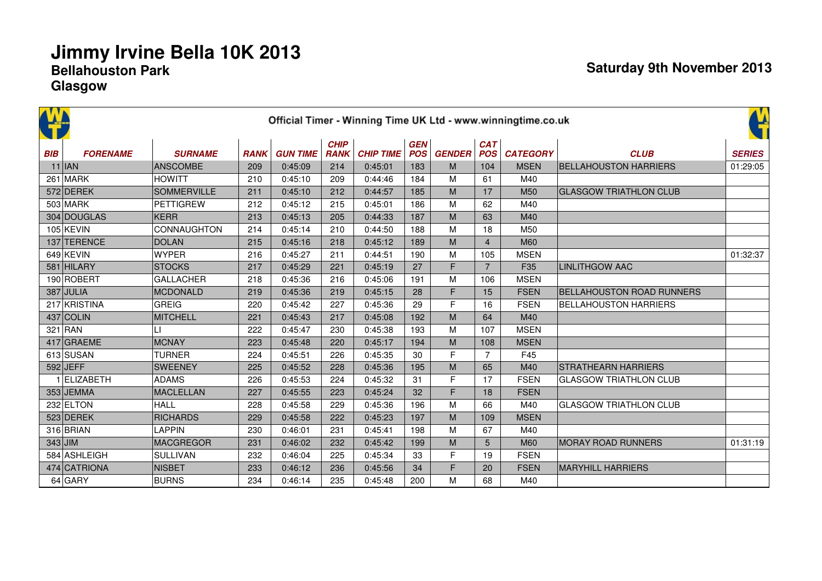|            |                 |                  |             |                 |                            |                  |                          |               |                          | Official Timer - Winning Time UK Ltd - www.winningtime.co.uk |                                  | 앀             |
|------------|-----------------|------------------|-------------|-----------------|----------------------------|------------------|--------------------------|---------------|--------------------------|--------------------------------------------------------------|----------------------------------|---------------|
| <b>BIB</b> | <b>FORENAME</b> | <b>SURNAME</b>   | <b>RANK</b> | <b>GUN TIME</b> | <b>CHIP</b><br><b>RANK</b> | <b>CHIP TIME</b> | <b>GEN</b><br><b>POS</b> | <b>GENDER</b> | <b>CAT</b><br><b>POS</b> | <b>CATEGORY</b>                                              | <b>CLUB</b>                      | <b>SERIES</b> |
|            | $11$  JAN       | <b>ANSCOMBE</b>  | 209         | 0:45:09         | 214                        | 0:45:01          | 183                      | M             | 104                      | <b>MSEN</b>                                                  | <b>BELLAHOUSTON HARRIERS</b>     | 01:29:05      |
|            | 261 MARK        | <b>HOWITT</b>    | 210         | 0:45:10         | 209                        | 0:44:46          | 184                      | M             | 61                       | M40                                                          |                                  |               |
|            | 572 DEREK       | SOMMERVILLE      | 211         | 0:45:10         | 212                        | 0:44:57          | 185                      | M             | 17                       | M <sub>50</sub>                                              | <b>GLASGOW TRIATHLON CLUB</b>    |               |
|            | 503 MARK        | <b>PETTIGREW</b> | 212         | 0:45:12         | 215                        | 0:45:01          | 186                      | M             | 62                       | M40                                                          |                                  |               |
|            | 304 DOUGLAS     | <b>KERR</b>      | 213         | 0:45:13         | 205                        | 0:44:33          | 187                      | M             | 63                       | M40                                                          |                                  |               |
|            | $105$ KEVIN     | CONNAUGHTON      | 214         | 0:45:14         | 210                        | 0:44:50          | 188                      | M             | 18                       | M50                                                          |                                  |               |
|            | 137 TERENCE     | <b>DOLAN</b>     | 215         | 0:45:16         | 218                        | 0:45:12          | 189                      | M             | $\overline{4}$           | <b>M60</b>                                                   |                                  |               |
|            | $649$ KEVIN     | <b>WYPER</b>     | 216         | 0:45:27         | 211                        | 0:44:51          | 190                      | M             | 105                      | <b>MSEN</b>                                                  |                                  | 01:32:37      |
|            | 581 HILARY      | <b>STOCKS</b>    | 217         | 0:45:29         | 221                        | 0:45:19          | 27                       | F             | $\overline{7}$           | F35                                                          | <b>LINLITHGOW AAC</b>            |               |
|            | 190 ROBERT      | <b>GALLACHER</b> | 218         | 0:45:36         | 216                        | 0:45:06          | 191                      | M             | 106                      | <b>MSEN</b>                                                  |                                  |               |
|            | 387 JULIA       | <b>MCDONALD</b>  | 219         | 0:45:36         | 219                        | 0:45:15          | 28                       | F             | 15                       | <b>FSEN</b>                                                  | <b>BELLAHOUSTON ROAD RUNNERS</b> |               |
|            | 217 KRISTINA    | <b>GREIG</b>     | 220         | 0:45:42         | 227                        | 0:45:36          | 29                       | F             | 16                       | <b>FSEN</b>                                                  | <b>BELLAHOUSTON HARRIERS</b>     |               |
|            | $437$ COLIN     | <b>MITCHELL</b>  | 221         | 0:45:43         | 217                        | 0:45:08          | 192                      | M             | 64                       | M40                                                          |                                  |               |
|            | $321$ RAN       | LI.              | 222         | 0:45:47         | 230                        | 0:45:38          | 193                      | M             | 107                      | <b>MSEN</b>                                                  |                                  |               |
|            | 417 GRAEME      | <b>MCNAY</b>     | 223         | 0:45:48         | 220                        | 0:45:17          | 194                      | M             | 108                      | <b>MSEN</b>                                                  |                                  |               |
|            | 613 SUSAN       | <b>TURNER</b>    | 224         | 0:45:51         | 226                        | 0:45:35          | 30                       | F             | $\overline{7}$           | F45                                                          |                                  |               |
|            | $592$ JEFF      | <b>SWEENEY</b>   | 225         | 0:45:52         | 228                        | 0:45:36          | 195                      | M             | 65                       | M40                                                          | <b>STRATHEARN HARRIERS</b>       |               |
|            | 1 ELIZABETH     | <b>ADAMS</b>     | 226         | 0:45:53         | 224                        | 0:45:32          | 31                       | F             | 17                       | <b>FSEN</b>                                                  | <b>GLASGOW TRIATHLON CLUB</b>    |               |
|            | 353 JEMMA       | <b>MACLELLAN</b> | 227         | 0:45:55         | 223                        | 0:45:24          | 32                       | F             | 18                       | <b>FSEN</b>                                                  |                                  |               |
|            | 232 ELTON       | <b>HALL</b>      | 228         | 0:45:58         | 229                        | 0:45:36          | 196                      | M             | 66                       | M40                                                          | <b>GLASGOW TRIATHLON CLUB</b>    |               |
|            | 523 DEREK       | <b>RICHARDS</b>  | 229         | 0:45:58         | 222                        | 0:45:23          | 197                      | M             | 109                      | <b>MSEN</b>                                                  |                                  |               |
|            | 316 BRIAN       | <b>LAPPIN</b>    | 230         | 0:46:01         | 231                        | 0:45:41          | 198                      | M             | 67                       | M40                                                          |                                  |               |
| $343$ JIM  |                 | <b>MACGREGOR</b> | 231         | 0:46:02         | 232                        | 0:45:42          | 199                      | M             | 5                        | M60                                                          | <b>MORAY ROAD RUNNERS</b>        | 01:31:19      |
|            | 584 ASHLEIGH    | <b>SULLIVAN</b>  | 232         | 0:46:04         | 225                        | 0:45:34          | 33                       | F             | 19                       | <b>FSEN</b>                                                  |                                  |               |
|            | 474 CATRIONA    | <b>NISBET</b>    | 233         | 0:46:12         | 236                        | 0:45:56          | 34                       | F             | 20                       | <b>FSEN</b>                                                  | <b>MARYHILL HARRIERS</b>         |               |
|            | $64$ GARY       | <b>BURNS</b>     | 234         | 0:46:14         | 235                        | 0:45:48          | 200                      | M             | 68                       | M40                                                          |                                  |               |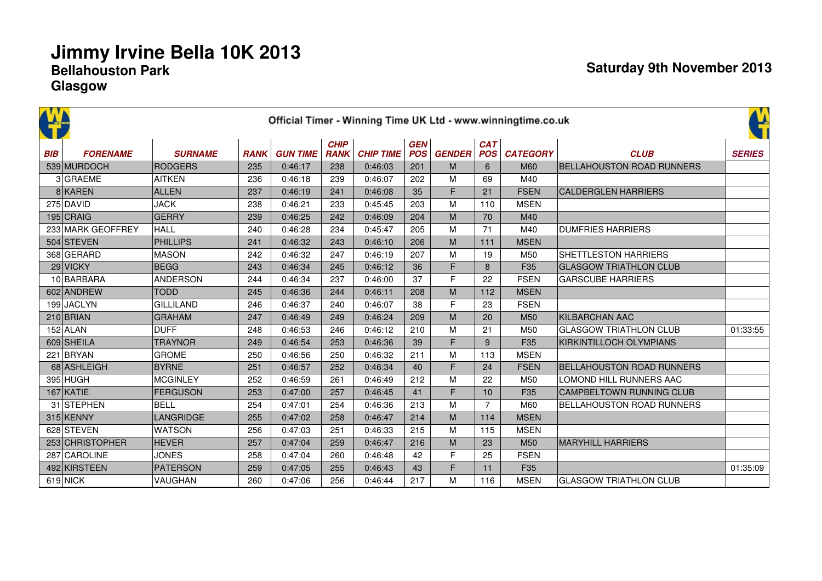|            |                   |                  |             |                 |                            |                  |                          |               |                          | Official Timer - Winning Time UK Ltd - www.winningtime.co.uk |                                  | t.<br>Si      |
|------------|-------------------|------------------|-------------|-----------------|----------------------------|------------------|--------------------------|---------------|--------------------------|--------------------------------------------------------------|----------------------------------|---------------|
| <b>BIB</b> | <b>FORENAME</b>   | <b>SURNAME</b>   | <b>RANK</b> | <b>GUN TIME</b> | <b>CHIP</b><br><b>RANK</b> | <b>CHIP TIME</b> | <b>GEN</b><br><b>POS</b> | <b>GENDER</b> | <b>CAT</b><br><b>POS</b> | <b>CATEGORY</b>                                              | <b>CLUB</b>                      | <b>SERIES</b> |
|            | 539 MURDOCH       | RODGERS          | 235         | 0:46:17         | 238                        | 0:46:03          | 201                      | M             | 6                        | M60                                                          | <b>BELLAHOUSTON ROAD RUNNERS</b> |               |
|            | 3 GRAEME          | <b>AITKEN</b>    | 236         | 0:46:18         | 239                        | 0:46:07          | 202                      | M             | 69                       | M40                                                          |                                  |               |
|            | 8 KAREN           | ALLEN            | 237         | 0:46:19         | 241                        | 0:46:08          | 35                       | F             | 21                       | <b>FSEN</b>                                                  | <b>CALDERGLEN HARRIERS</b>       |               |
|            | 275 DAVID         | <b>JACK</b>      | 238         | 0:46:21         | 233                        | 0:45:45          | 203                      | M             | 110                      | <b>MSEN</b>                                                  |                                  |               |
|            | 195 CRAIG         | <b>GERRY</b>     | 239         | 0:46:25         | 242                        | 0:46:09          | 204                      | M             | 70                       | M40                                                          |                                  |               |
|            | 233 MARK GEOFFREY | HALL             | 240         | 0:46:28         | 234                        | 0:45:47          | 205                      | M             | 71                       | M40                                                          | <b>DUMFRIES HARRIERS</b>         |               |
|            | 504 STEVEN        | <b>PHILLIPS</b>  | 241         | 0:46:32         | 243                        | 0:46:10          | 206                      | M             | 111                      | <b>MSEN</b>                                                  |                                  |               |
|            | 368 GERARD        | <b>MASON</b>     | 242         | 0:46:32         | 247                        | 0:46:19          | 207                      | M             | 19                       | M50                                                          | <b>SHETTLESTON HARRIERS</b>      |               |
|            | 29 VICKY          | <b>BEGG</b>      | 243         | 0:46:34         | 245                        | 0:46:12          | 36                       | F             | 8                        | F35                                                          | <b>GLASGOW TRIATHLON CLUB</b>    |               |
|            | 10 BARBARA        | <b>ANDERSON</b>  | 244         | 0:46:34         | 237                        | 0:46:00          | 37                       | F             | 22                       | <b>FSEN</b>                                                  | <b>GARSCUBE HARRIERS</b>         |               |
|            | 602 ANDREW        | <b>TODD</b>      | 245         | 0:46:36         | 244                        | 0:46:11          | 208                      | M             | 112                      | <b>MSEN</b>                                                  |                                  |               |
|            | 199 JACLYN        | <b>GILLILAND</b> | 246         | 0:46:37         | 240                        | 0:46:07          | 38                       | E             | 23                       | <b>FSEN</b>                                                  |                                  |               |
|            | $210$ BRIAN       | <b>GRAHAM</b>    | 247         | 0:46:49         | 249                        | 0:46:24          | 209                      | M             | 20                       | M50                                                          | <b>KILBARCHAN AAC</b>            |               |
|            | $152$ ALAN        | <b>DUFF</b>      | 248         | 0:46:53         | 246                        | 0:46:12          | 210                      | M             | 21                       | M50                                                          | <b>GLASGOW TRIATHLON CLUB</b>    | 01:33:55      |
|            | 609 SHEILA        | <b>TRAYNOR</b>   | 249         | 0:46:54         | 253                        | 0:46:36          | 39                       | F             | 9                        | F35                                                          | KIRKINTILLOCH OLYMPIANS          |               |
|            | 221 BRYAN         | <b>GROME</b>     | 250         | 0:46:56         | 250                        | 0:46:32          | 211                      | M             | 113                      | <b>MSEN</b>                                                  |                                  |               |
|            | 68 ASHLEIGH       | <b>BYRNE</b>     | 251         | 0:46:57         | 252                        | 0:46:34          | 40                       | F             | 24                       | <b>FSEN</b>                                                  | <b>BELLAHOUSTON ROAD RUNNERS</b> |               |
|            | 395 HUGH          | <b>MCGINLEY</b>  | 252         | 0:46:59         | 261                        | 0:46:49          | 212                      | M             | 22                       | M50                                                          | LOMOND HILL RUNNERS AAC          |               |
|            | $167$ KATIE       | <b>FERGUSON</b>  | 253         | 0:47:00         | 257                        | 0:46:45          | 41                       | F             | 10                       | F35                                                          | <b>CAMPBELTOWN RUNNING CLUB</b>  |               |
|            | 31 STEPHEN        | <b>BELL</b>      | 254         | 0:47:01         | 254                        | 0:46:36          | 213                      | M             | $\overline{7}$           | M60                                                          | <b>BELLAHOUSTON ROAD RUNNERS</b> |               |
|            | 315 KENNY         | LANGRIDGE        | 255         | 0:47:02         | 258                        | 0:46:47          | 214                      | M             | 114                      | <b>MSEN</b>                                                  |                                  |               |
|            | 628 STEVEN        | <b>WATSON</b>    | 256         | 0:47:03         | 251                        | 0:46:33          | 215                      | M             | 115                      | <b>MSEN</b>                                                  |                                  |               |
|            | 253 CHRISTOPHER   | <b>HEVER</b>     | 257         | 0:47:04         | 259                        | 0:46:47          | 216                      | M             | 23                       | M50                                                          | <b>MARYHILL HARRIERS</b>         |               |
|            | 287 CAROLINE      | <b>JONES</b>     | 258         | 0:47:04         | 260                        | 0:46:48          | 42                       | F             | 25                       | <b>FSEN</b>                                                  |                                  |               |
|            | 492 KIRSTEEN      | PATERSON         | 259         | 0:47:05         | 255                        | 0:46:43          | 43                       | F             | 11                       | F35                                                          |                                  | 01:35:09      |
|            | $619$ NICK        | <b>VAUGHAN</b>   | 260         | 0:47:06         | 256                        | 0:46:44          | 217                      | М             | 116                      | <b>MSEN</b>                                                  | <b>GLASGOW TRIATHLON CLUB</b>    |               |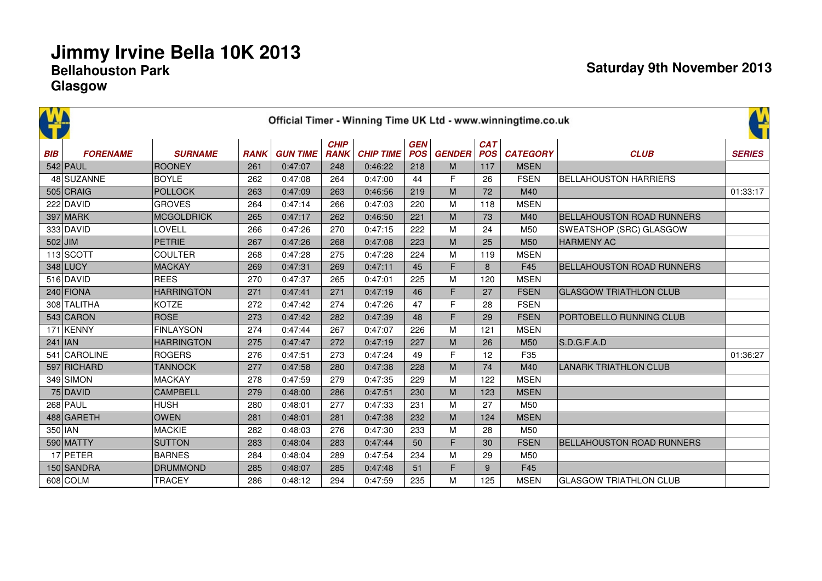|            |                 |                   |             |                 |                            |                  |                          |               |                          | Official Timer - Winning Time UK Ltd - www.winningtime.co.uk |                                  | ¥             |
|------------|-----------------|-------------------|-------------|-----------------|----------------------------|------------------|--------------------------|---------------|--------------------------|--------------------------------------------------------------|----------------------------------|---------------|
| <b>BIB</b> | <b>FORENAME</b> | <b>SURNAME</b>    | <b>RANK</b> | <b>GUN TIME</b> | <b>CHIP</b><br><b>RANK</b> | <b>CHIP TIME</b> | <b>GEN</b><br><b>POS</b> | <b>GENDER</b> | <b>CAT</b><br><b>POS</b> | <b>CATEGORY</b>                                              | <b>CLUB</b>                      | <b>SERIES</b> |
|            | $542$ PAUL      | ROONEY            | 261         | 0:47:07         | 248                        | 0:46:22          | 218                      | M             | 117                      | <b>MSEN</b>                                                  |                                  |               |
|            | 48 SUZANNE      | <b>BOYLE</b>      | 262         | 0:47:08         | 264                        | 0:47:00          | 44                       | F             | 26                       | <b>FSEN</b>                                                  | <b>BELLAHOUSTON HARRIERS</b>     |               |
|            | $505$ CRAIG     | POLLOCK           | 263         | 0:47:09         | 263                        | 0:46:56          | 219                      | M             | 72                       | M40                                                          |                                  | 01:33:17      |
|            | 222 DAVID       | <b>GROVES</b>     | 264         | 0:47:14         | 266                        | 0:47:03          | 220                      | M             | 118                      | <b>MSEN</b>                                                  |                                  |               |
|            | 397 MARK        | MCGOLDRICK        | 265         | 0:47:17         | 262                        | 0:46:50          | 221                      | M             | 73                       | M40                                                          | <b>BELLAHOUSTON ROAD RUNNERS</b> |               |
|            | 333 DAVID       | LOVELL            | 266         | 0:47:26         | 270                        | 0:47:15          | 222                      | M             | 24                       | M50                                                          | SWEATSHOP (SRC) GLASGOW          |               |
|            | $502$ JIM       | PETRIE            | 267         | 0:47:26         | 268                        | 0:47:08          | 223                      | M             | 25                       | M <sub>50</sub>                                              | <b>HARMENY AC</b>                |               |
|            | 113 SCOTT       | <b>COULTER</b>    | 268         | 0:47:28         | 275                        | 0:47:28          | 224                      | M             | 119                      | <b>MSEN</b>                                                  |                                  |               |
|            | 348 LUCY        | MACKAY            | 269         | 0:47:31         | 269                        | 0:47:11          | 45                       | F             | 8                        | F45                                                          | <b>BELLAHOUSTON ROAD RUNNERS</b> |               |
|            | 516 DAVID       | <b>REES</b>       | 270         | 0:47:37         | 265                        | 0:47:01          | 225                      | M             | 120                      | <b>MSEN</b>                                                  |                                  |               |
|            | $240$ FIONA     | <b>HARRINGTON</b> | 271         | 0:47:41         | 271                        | 0:47:19          | 46                       | F             | 27                       | <b>FSEN</b>                                                  | <b>GLASGOW TRIATHLON CLUB</b>    |               |
|            | 308 TALITHA     | KOTZE             | 272         | 0:47:42         | 274                        | 0:47:26          | 47                       | F             | 28                       | <b>FSEN</b>                                                  |                                  |               |
|            | 543 CARON       | ROSE              | 273         | 0:47:42         | 282                        | 0:47:39          | 48                       | F             | 29                       | <b>FSEN</b>                                                  | PORTOBELLO RUNNING CLUB          |               |
|            | 171 KENNY       | FINLAYSON         | 274         | 0:47:44         | 267                        | 0:47:07          | 226                      | M             | 121                      | <b>MSEN</b>                                                  |                                  |               |
|            | $241$ IAN       | <b>HARRINGTON</b> | 275         | 0:47:47         | 272                        | 0:47:19          | 227                      | M             | 26                       | M50                                                          | S.D.G.F.A.D                      |               |
|            | 541 CAROLINE    | <b>ROGERS</b>     | 276         | 0:47:51         | 273                        | 0:47:24          | 49                       | F             | 12                       | F35                                                          |                                  | 01:36:27      |
|            | 597 RICHARD     | <b>TANNOCK</b>    | 277         | 0:47:58         | 280                        | 0:47:38          | 228                      | ${\sf M}$     | 74                       | M40                                                          | <b>LANARK TRIATHLON CLUB</b>     |               |
|            | 349 SIMON       | MACKAY            | 278         | 0:47:59         | 279                        | 0:47:35          | 229                      | M             | 122                      | <b>MSEN</b>                                                  |                                  |               |
|            | $75$ DAVID      | <b>CAMPBELL</b>   | 279         | 0:48:00         | 286                        | 0:47:51          | 230                      | M             | 123                      | <b>MSEN</b>                                                  |                                  |               |
|            | $268$ PAUL      | <b>HUSH</b>       | 280         | 0:48:01         | 277                        | 0:47:33          | 231                      | M             | 27                       | M50                                                          |                                  |               |
|            | 488 GARETH      | <b>OWEN</b>       | 281         | 0:48:01         | 281                        | 0:47:38          | 232                      | M             | 124                      | <b>MSEN</b>                                                  |                                  |               |
|            | 350 IAN         | MACKIE            | 282         | 0:48:03         | 276                        | 0:47:30          | 233                      | M             | 28                       | M50                                                          |                                  |               |
|            | 590 MATTY       | <b>SUTTON</b>     | 283         | 0:48:04         | 283                        | 0:47:44          | 50                       | F             | 30                       | <b>FSEN</b>                                                  | <b>BELLAHOUSTON ROAD RUNNERS</b> |               |
|            | $17$ PETER      | <b>BARNES</b>     | 284         | 0:48:04         | 289                        | 0:47:54          | 234                      | M             | 29                       | M50                                                          |                                  |               |
|            | 150 SANDRA      | DRUMMOND          | 285         | 0:48:07         | 285                        | 0:47:48          | 51                       | F             | 9                        | F45                                                          |                                  |               |
|            | $608$ COLM      | <b>TRACEY</b>     | 286         | 0:48:12         | 294                        | 0:47:59          | 235                      | M             | 125                      | <b>MSEN</b>                                                  | GLASGOW TRIATHLON CLUB           |               |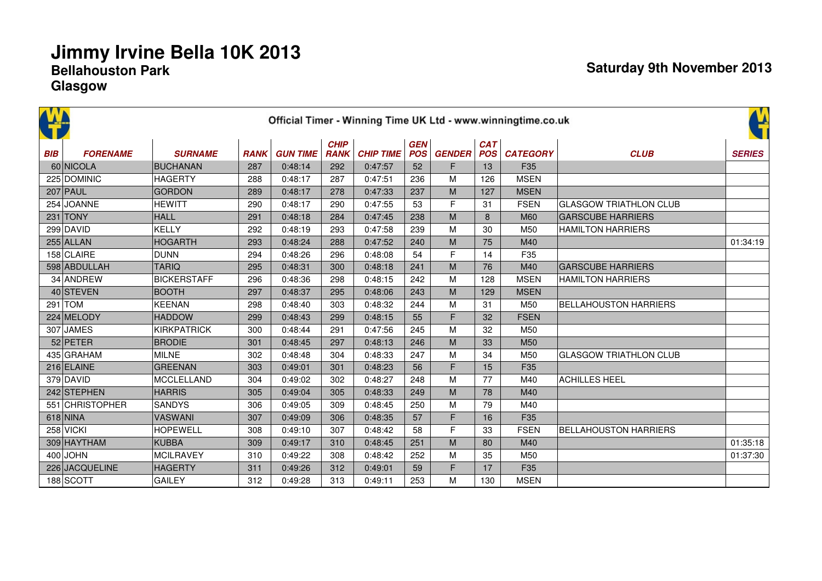|            |                 |                    |             |                 |                            |                  |                          |               |                          | Official Timer - Winning Time UK Ltd - www.winningtime.co.uk |                               | ¥             |
|------------|-----------------|--------------------|-------------|-----------------|----------------------------|------------------|--------------------------|---------------|--------------------------|--------------------------------------------------------------|-------------------------------|---------------|
| <b>BIB</b> | <b>FORENAME</b> | <b>SURNAME</b>     | <b>RANK</b> | <b>GUN TIME</b> | <b>CHIP</b><br><b>RANK</b> | <b>CHIP TIME</b> | <b>GEN</b><br><b>POS</b> | <b>GENDER</b> | <b>CAT</b><br><b>POS</b> | <b>CATEGORY</b>                                              | <b>CLUB</b>                   | <b>SERIES</b> |
|            | 60 NICOLA       | <b>BUCHANAN</b>    | 287         | 0:48:14         | 292                        | 0:47:57          | 52                       | F             | 13                       | F <sub>35</sub>                                              |                               |               |
|            | 225 DOMINIC     | <b>HAGERTY</b>     | 288         | 0:48:17         | 287                        | 0:47:51          | 236                      | M             | 126                      | <b>MSEN</b>                                                  |                               |               |
|            | $207$ PAUL      | <b>GORDON</b>      | 289         | 0:48:17         | 278                        | 0:47:33          | 237                      | M             | 127                      | <b>MSEN</b>                                                  |                               |               |
|            | 254 JOANNE      | <b>HEWITT</b>      | 290         | 0:48:17         | 290                        | 0:47:55          | 53                       | F             | 31                       | <b>FSEN</b>                                                  | <b>GLASGOW TRIATHLON CLUB</b> |               |
|            | $231$ TONY      | <b>HALL</b>        | 291         | 0:48:18         | 284                        | 0:47:45          | 238                      | M             | 8                        | M60                                                          | <b>GARSCUBE HARRIERS</b>      |               |
|            | 299 DAVID       | <b>KELLY</b>       | 292         | 0:48:19         | 293                        | 0:47:58          | 239                      | M             | 30                       | M50                                                          | <b>HAMILTON HARRIERS</b>      |               |
|            | $255$ ALLAN     | <b>HOGARTH</b>     | 293         | 0:48:24         | 288                        | 0:47:52          | 240                      | M             | 75                       | M40                                                          |                               | 01:34:19      |
|            | 158 CLAIRE      | <b>DUNN</b>        | 294         | 0:48:26         | 296                        | 0:48:08          | 54                       | F             | 14                       | F <sub>35</sub>                                              |                               |               |
|            | 598 ABDULLAH    | <b>TARIQ</b>       | 295         | 0:48:31         | 300                        | 0:48:18          | 241                      | M             | 76                       | M40                                                          | <b>GARSCUBE HARRIERS</b>      |               |
|            | 34 ANDREW       | <b>BICKERSTAFF</b> | 296         | 0:48:36         | 298                        | 0:48:15          | 242                      | M             | 128                      | <b>MSEN</b>                                                  | <b>HAMILTON HARRIERS</b>      |               |
|            | 40 STEVEN       | <b>BOOTH</b>       | 297         | 0:48:37         | 295                        | 0:48:06          | 243                      | M             | 129                      | <b>MSEN</b>                                                  |                               |               |
|            | $291$ TOM       | <b>KEENAN</b>      | 298         | 0:48:40         | 303                        | 0:48:32          | 244                      | M             | 31                       | M50                                                          | <b>BELLAHOUSTON HARRIERS</b>  |               |
|            | 224 MELODY      | <b>HADDOW</b>      | 299         | 0:48:43         | 299                        | 0:48:15          | 55                       | F             | 32                       | <b>FSEN</b>                                                  |                               |               |
|            | 307 JAMES       | <b>KIRKPATRICK</b> | 300         | 0:48:44         | 291                        | 0:47:56          | 245                      | M             | 32                       | M50                                                          |                               |               |
|            | 52 PETER        | <b>BRODIE</b>      | 301         | 0:48:45         | 297                        | 0:48:13          | 246                      | M             | 33                       | M50                                                          |                               |               |
|            | 435 GRAHAM      | <b>MILNE</b>       | 302         | 0:48:48         | 304                        | 0:48:33          | 247                      | M             | 34                       | M50                                                          | <b>GLASGOW TRIATHLON CLUB</b> |               |
|            | 216 ELAINE      | <b>GREENAN</b>     | 303         | 0:49:01         | 301                        | 0:48:23          | 56                       | F             | 15                       | F35                                                          |                               |               |
|            | 379 DAVID       | <b>MCCLELLAND</b>  | 304         | 0:49:02         | 302                        | 0:48:27          | 248                      | M             | 77                       | M40                                                          | <b>ACHILLES HEEL</b>          |               |
|            | 242 STEPHEN     | <b>HARRIS</b>      | 305         | 0:49:04         | 305                        | 0:48:33          | 249                      | M             | 78                       | M40                                                          |                               |               |
|            | 551 CHRISTOPHER | <b>SANDYS</b>      | 306         | 0:49:05         | 309                        | 0:48:45          | 250                      | M             | 79                       | M40                                                          |                               |               |
|            | $618$ NINA      | <b>VASWANI</b>     | 307         | 0:49:09         | 306                        | 0:48:35          | 57                       | F             | 16                       | F <sub>35</sub>                                              |                               |               |
|            | $258$ VICKI     | <b>HOPEWELL</b>    | 308         | 0:49:10         | 307                        | 0:48:42          | 58                       | F             | 33                       | <b>FSEN</b>                                                  | <b>BELLAHOUSTON HARRIERS</b>  |               |
|            | 309 HAYTHAM     | <b>KUBBA</b>       | 309         | 0:49:17         | 310                        | 0:48:45          | 251                      | M             | 80                       | M40                                                          |                               | 01:35:18      |
|            | $400$ JOHN      | <b>MCILRAVEY</b>   | 310         | 0:49:22         | 308                        | 0:48:42          | 252                      | M             | 35                       | M50                                                          |                               | 01:37:30      |
|            | 226 JACQUELINE  | <b>HAGERTY</b>     | 311         | 0:49:26         | 312                        | 0:49:01          | 59                       | F             | 17                       | F35                                                          |                               |               |
|            | 188 SCOTT       | <b>GAILEY</b>      | 312         | 0:49:28         | 313                        | 0:49:11          | 253                      | M             | 130                      | <b>MSEN</b>                                                  |                               |               |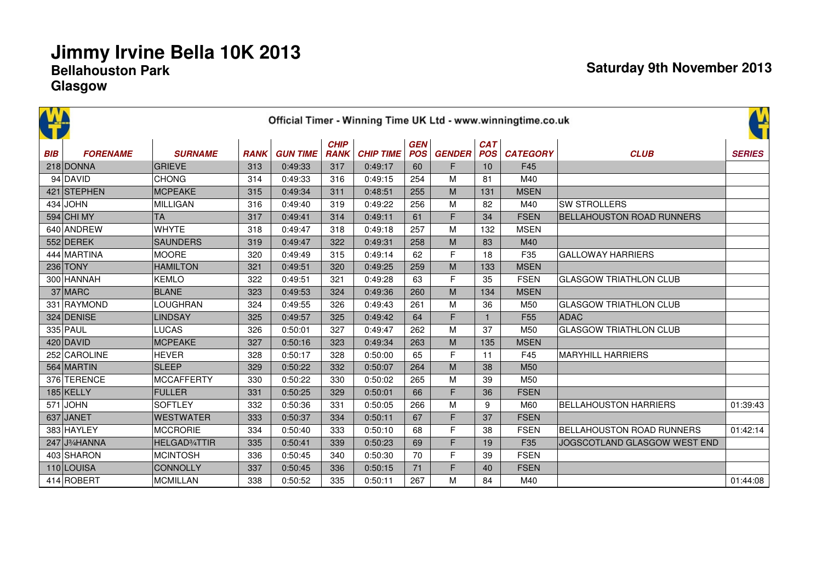|            |                                         |                            |             |                 |                            |                  |                          |               |                          | Official Timer - Winning Time UK Ltd - www.winningtime.co.uk |                                  | Ľ             |
|------------|-----------------------------------------|----------------------------|-------------|-----------------|----------------------------|------------------|--------------------------|---------------|--------------------------|--------------------------------------------------------------|----------------------------------|---------------|
| <b>BIB</b> | <b>FORENAME</b>                         | <b>SURNAME</b>             | <b>RANK</b> | <b>GUN TIME</b> | <b>CHIP</b><br><b>RANK</b> | <b>CHIP TIME</b> | <b>GEN</b><br><b>POS</b> | <b>GENDER</b> | <b>CAT</b><br><b>POS</b> | <b>CATEGORY</b>                                              | <b>CLUB</b>                      | <b>SERIES</b> |
|            | 218 DONNA                               | <b>GRIEVE</b>              | 313         | 0:49:33         | 317                        | 0:49:17          | 60                       | F             | 10                       | F45                                                          |                                  |               |
|            | $94$ DAVID                              | <b>CHONG</b>               | 314         | 0:49:33         | 316                        | 0:49:15          | 254                      | M             | 81                       | M40                                                          |                                  |               |
|            | 421 STEPHEN                             | MCPEAKE                    | 315         | 0:49:34         | 311                        | 0:48:51          | 255                      | M             | 131                      | <b>MSEN</b>                                                  |                                  |               |
|            | $434$ JOHN                              | MILLIGAN                   | 316         | 0:49:40         | 319                        | 0:49:22          | 256                      | M             | 82                       | M40                                                          | <b>SW STROLLERS</b>              |               |
|            | 594 CHI MY                              | <b>TA</b>                  | 317         | 0:49:41         | 314                        | 0:49:11          | 61                       | F             | 34                       | <b>FSEN</b>                                                  | <b>BELLAHOUSTON ROAD RUNNERS</b> |               |
|            | 640 ANDREW                              | <b>WHYTE</b>               | 318         | 0:49:47         | 318                        | 0:49:18          | 257                      | M             | 132                      | <b>MSEN</b>                                                  |                                  |               |
|            | 552 DEREK                               | SAUNDERS                   | 319         | 0:49:47         | 322                        | 0:49:31          | 258                      | M             | 83                       | M40                                                          |                                  |               |
|            | 444 MARTINA                             | <b>MOORE</b>               | 320         | 0:49:49         | 315                        | 0:49:14          | 62                       | F             | 18                       | F35                                                          | <b>GALLOWAY HARRIERS</b>         |               |
|            | $236$ TONY                              | <b>HAMILTON</b>            | 321         | 0:49:51         | 320                        | 0:49:25          | 259                      | M             | 133                      | <b>MSEN</b>                                                  |                                  |               |
|            | 300 HANNAH                              | <b>KEMLO</b>               | 322         | 0:49:51         | 321                        | 0:49:28          | 63                       | F             | 35                       | <b>FSEN</b>                                                  | <b>GLASGOW TRIATHLON CLUB</b>    |               |
|            | 37 MARC                                 | <b>BLANE</b>               | 323         | 0:49:53         | 324                        | 0:49:36          | 260                      | M             | 134                      | <b>MSEN</b>                                                  |                                  |               |
|            | 331 RAYMOND                             | <b>LOUGHRAN</b>            | 324         | 0:49:55         | 326                        | 0:49:43          | 261                      | M             | 36                       | M50                                                          | <b>GLASGOW TRIATHLON CLUB</b>    |               |
|            | 324 DENISE                              | LINDSAY                    | 325         | 0:49:57         | 325                        | 0:49:42          | 64                       | F             |                          | F <sub>55</sub>                                              | <b>ADAC</b>                      |               |
|            | 335 PAUL                                | <b>LUCAS</b>               | 326         | 0:50:01         | 327                        | 0:49:47          | 262                      | M             | 37                       | M50                                                          | <b>GLASGOW TRIATHLON CLUB</b>    |               |
|            | $420$ DAVID                             | MCPEAKE                    | 327         | 0:50:16         | 323                        | 0:49:34          | 263                      | M             | 135                      | <b>MSEN</b>                                                  |                                  |               |
|            | 252 CAROLINE                            | HEVER                      | 328         | 0:50:17         | 328                        | 0:50:00          | 65                       | F             | 11                       | F45                                                          | <b>MARYHILL HARRIERS</b>         |               |
|            | 564 MARTIN                              | <b>SLEEP</b>               | 329         | 0:50:22         | 332                        | 0:50:07          | 264                      | M             | 38                       | M50                                                          |                                  |               |
|            | 376 TERENCE                             | <b>MCCAFFERTY</b>          | 330         | 0:50:22         | 330                        | 0:50:02          | 265                      | M             | 39                       | M50                                                          |                                  |               |
|            | 185 KELLY                               | FULLER                     | 331         | 0:50:25         | 329                        | 0:50:01          | 66                       | F             | 36                       | <b>FSEN</b>                                                  |                                  |               |
|            | $571$ JOHN                              | <b>SOFTLEY</b>             | 332         | 0:50:36         | 331                        | 0:50:05          | 266                      | M             | 9                        | M60                                                          | <b>BELLAHOUSTON HARRIERS</b>     | 01:39:43      |
|            | 637 JANET                               | <b>WESTWATER</b>           | 333         | 0:50:37         | 334                        | 0:50:11          | 67                       | F             | 37                       | <b>FSEN</b>                                                  |                                  |               |
|            | 383 HAYLEY                              | MCCRORIE                   | 334         | 0:50:40         | 333                        | 0:50:10          | 68                       | F             | 38                       | <b>FSEN</b>                                                  | <b>BELLAHOUSTON ROAD RUNNERS</b> | 01:42:14      |
|            | 247 J <sup>3</sup> / <sub>4</sub> HANNA | HELGAD <sup>3</sup> /4TTIR | 335         | 0:50:41         | 339                        | 0:50:23          | 69                       | F             | 19                       | F35                                                          | JOGSCOTLAND GLASGOW WEST END     |               |
|            | 403 SHARON                              | MCINTOSH                   | 336         | 0:50:45         | 340                        | 0:50:30          | 70                       | F             | 39                       | <b>FSEN</b>                                                  |                                  |               |
|            | 110 LOUISA                              | <b>CONNOLLY</b>            | 337         | 0:50:45         | 336                        | 0:50:15          | 71                       | F             | 40                       | <b>FSEN</b>                                                  |                                  |               |
|            | 414 ROBERT                              | <b>MCMILLAN</b>            | 338         | 0:50:52         | 335                        | 0:50:11          | 267                      | M             | 84                       | M40                                                          |                                  | 01:44:08      |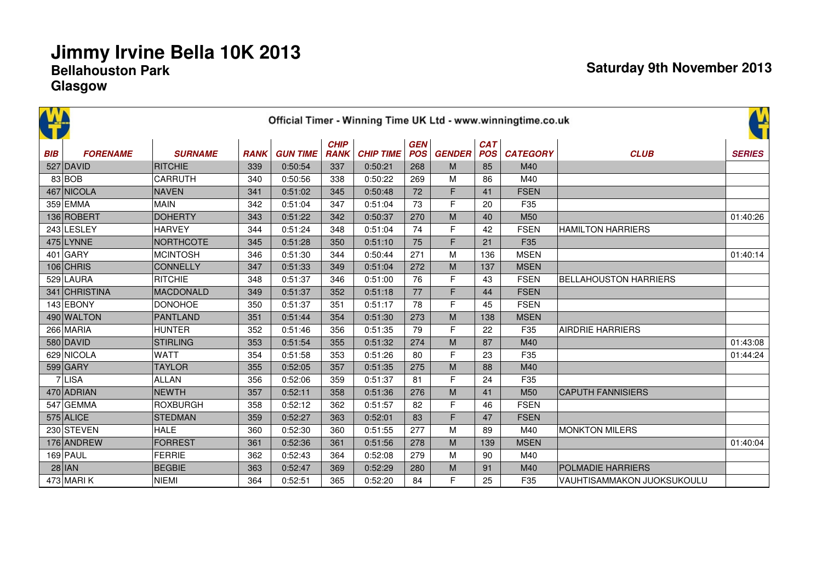|            |                 |                 |             |                 |                            |                  |                          |               |                          | Official Timer - Winning Time UK Ltd - www.winningtime.co.uk |                              | ¥             |
|------------|-----------------|-----------------|-------------|-----------------|----------------------------|------------------|--------------------------|---------------|--------------------------|--------------------------------------------------------------|------------------------------|---------------|
| <b>BIB</b> | <b>FORENAME</b> | <b>SURNAME</b>  | <b>RANK</b> | <b>GUN TIME</b> | <b>CHIP</b><br><b>RANK</b> | <b>CHIP TIME</b> | <b>GEN</b><br><b>POS</b> | <b>GENDER</b> | <b>CAT</b><br><b>POS</b> | <b>CATEGORY</b>                                              | <b>CLUB</b>                  | <b>SERIES</b> |
|            | 527 DAVID       | RITCHIE         | 339         | 0:50:54         | 337                        | 0:50:21          | 268                      | M             | 85                       | M40                                                          |                              |               |
|            | 83 BOB          | CARRUTH         | 340         | 0:50:56         | 338                        | 0:50:22          | 269                      | M             | 86                       | M40                                                          |                              |               |
|            | 467 NICOLA      | NAVEN           | 341         | 0:51:02         | 345                        | 0:50:48          | 72                       | F             | 41                       | <b>FSEN</b>                                                  |                              |               |
|            | 359 EMMA        | <b>MAIN</b>     | 342         | 0:51:04         | 347                        | 0:51:04          | 73                       | F             | 20                       | F35                                                          |                              |               |
|            | 136 ROBERT      | <b>DOHERTY</b>  | 343         | 0:51:22         | 342                        | 0:50:37          | 270                      | M             | 40                       | M <sub>50</sub>                                              |                              | 01:40:26      |
|            | 243 LESLEY      | <b>HARVEY</b>   | 344         | 0:51:24         | 348                        | 0:51:04          | 74                       | F             | 42                       | <b>FSEN</b>                                                  | <b>HAMILTON HARRIERS</b>     |               |
|            | $475$ LYNNE     | NORTHCOTE       | 345         | 0:51:28         | 350                        | 0:51:10          | 75                       | F             | 21                       | F <sub>35</sub>                                              |                              |               |
|            | $401$ GARY      | MCINTOSH        | 346         | 0:51:30         | 344                        | 0:50:44          | 271                      | M             | 136                      | <b>MSEN</b>                                                  |                              | 01:40:14      |
|            | $106$ CHRIS     | <b>CONNELLY</b> | 347         | 0:51:33         | 349                        | 0:51:04          | 272                      | M             | 137                      | <b>MSEN</b>                                                  |                              |               |
|            | 529 LAURA       | <b>RITCHIE</b>  | 348         | 0:51:37         | 346                        | 0:51:00          | 76                       | F             | 43                       | <b>FSEN</b>                                                  | <b>BELLAHOUSTON HARRIERS</b> |               |
|            | 341 CHRISTINA   | MACDONALD       | 349         | 0:51:37         | 352                        | 0:51:18          | 77                       | F             | 44                       | <b>FSEN</b>                                                  |                              |               |
|            | 143 EBONY       | <b>DONOHOE</b>  | 350         | 0:51:37         | 351                        | 0:51:17          | 78                       | F             | 45                       | <b>FSEN</b>                                                  |                              |               |
|            | 490 WALTON      | PANTLAND        | 351         | 0:51:44         | 354                        | 0:51:30          | 273                      | ${\sf M}$     | 138                      | <b>MSEN</b>                                                  |                              |               |
|            | 266 MARIA       | <b>HUNTER</b>   | 352         | 0:51:46         | 356                        | 0:51:35          | 79                       | F             | 22                       | F35                                                          | <b>AIRDRIE HARRIERS</b>      |               |
|            | $580$ DAVID     | STIRLING        | 353         | 0:51:54         | 355                        | 0:51:32          | 274                      | M             | 87                       | M40                                                          |                              | 01:43:08      |
|            | 629 NICOLA      | <b>WATT</b>     | 354         | 0:51:58         | 353                        | 0:51:26          | 80                       | F             | 23                       | F35                                                          |                              | 01:44:24      |
|            | $599$ GARY      | <b>TAYLOR</b>   | 355         | 0:52:05         | 357                        | 0:51:35          | 275                      | M             | 88                       | M40                                                          |                              |               |
|            | $7$ LISA        | <b>ALLAN</b>    | 356         | 0:52:06         | 359                        | 0:51:37          | 81                       | F             | 24                       | F35                                                          |                              |               |
|            | 470 ADRIAN      | NEWTH           | 357         | 0:52:11         | 358                        | 0:51:36          | 276                      | M             | 41                       | M50                                                          | <b>CAPUTH FANNISIERS</b>     |               |
|            | 547 GEMMA       | ROXBURGH        | 358         | 0:52:12         | 362                        | 0:51:57          | 82                       | F             | 46                       | <b>FSEN</b>                                                  |                              |               |
|            | $575$ ALICE     | STEDMAN         | 359         | 0:52:27         | 363                        | 0:52:01          | 83                       | F             | 47                       | <b>FSEN</b>                                                  |                              |               |
|            | 230 STEVEN      | <b>HALE</b>     | 360         | 0:52:30         | 360                        | 0:51:55          | 277                      | M             | 89                       | M40                                                          | <b>MONKTON MILERS</b>        |               |
|            | 176 ANDREW      | <b>FORREST</b>  | 361         | 0:52:36         | 361                        | 0:51:56          | 278                      | M             | 139                      | <b>MSEN</b>                                                  |                              | 01:40:04      |
|            | $169$ PAUL      | <b>FERRIE</b>   | 362         | 0:52:43         | 364                        | 0:52:08          | 279                      | M             | 90                       | M40                                                          |                              |               |
|            | $28$ IAN        | <b>BEGBIE</b>   | 363         | 0:52:47         | 369                        | 0:52:29          | 280                      | M             | 91                       | M40                                                          | <b>POLMADIE HARRIERS</b>     |               |
|            | 473 MARIK       | <b>NIEMI</b>    | 364         | 0:52:51         | 365                        | 0:52:20          | 84                       | F             | 25                       | F35                                                          | VAUHTISAMMAKON JUOKSUKOULU   |               |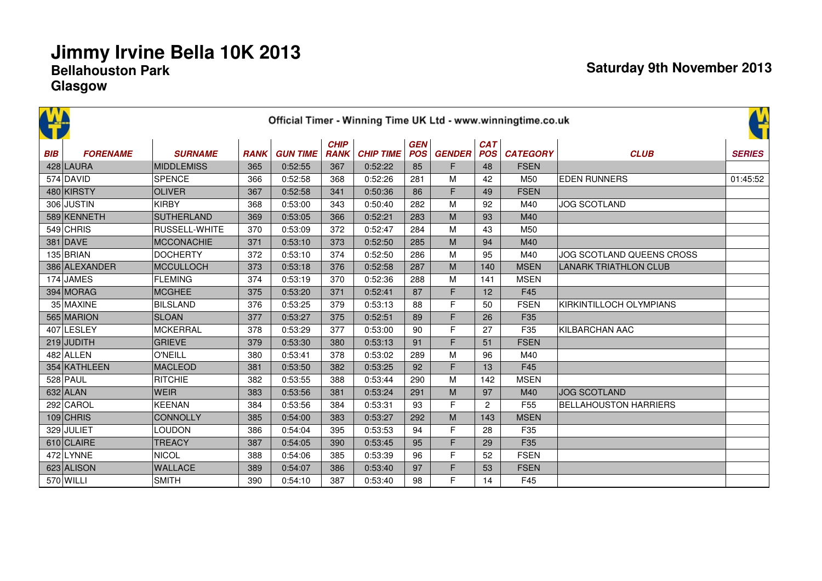|            | Official Timer - Winning Time UK Ltd - www.winningtime.co.uk |                   |             |                 |                            |                  |                          |               |                          |                 |                              |               |  |  |  |
|------------|--------------------------------------------------------------|-------------------|-------------|-----------------|----------------------------|------------------|--------------------------|---------------|--------------------------|-----------------|------------------------------|---------------|--|--|--|
| <b>BIB</b> | <b>FORENAME</b>                                              | <b>SURNAME</b>    | <b>RANK</b> | <b>GUN TIME</b> | <b>CHIP</b><br><b>RANK</b> | <b>CHIP TIME</b> | <b>GEN</b><br><b>POS</b> | <b>GENDER</b> | <b>CAT</b><br><b>POS</b> | <b>CATEGORY</b> | <b>CLUB</b>                  | <b>SERIES</b> |  |  |  |
|            | 428 LAURA                                                    | <b>MIDDLEMISS</b> | 365         | 0:52:55         | 367                        | 0:52:22          | 85                       | F.            | 48                       | <b>FSEN</b>     |                              |               |  |  |  |
|            | 574 DAVID                                                    | <b>SPENCE</b>     | 366         | 0:52:58         | 368                        | 0:52:26          | 281                      | М             | 42                       | M50             | <b>EDEN RUNNERS</b>          | 01:45:52      |  |  |  |
|            | 480 KIRSTY                                                   | <b>OLIVER</b>     | 367         | 0:52:58         | 341                        | 0:50:36          | 86                       | F             | 49                       | <b>FSEN</b>     |                              |               |  |  |  |
|            | 306 JUSTIN                                                   | <b>KIRBY</b>      | 368         | 0:53:00         | 343                        | 0:50:40          | 282                      | M             | 92                       | M40             | <b>JOG SCOTLAND</b>          |               |  |  |  |
|            | 589 KENNETH                                                  | SUTHERLAND        | 369         | 0:53:05         | 366                        | 0:52:21          | 283                      | M             | 93                       | M40             |                              |               |  |  |  |
|            | $549$ CHRIS                                                  | RUSSELL-WHITE     | 370         | 0:53:09         | 372                        | 0:52:47          | 284                      | М             | 43                       | M50             |                              |               |  |  |  |
|            | 381 DAVE                                                     | MCCONACHIE        | 371         | 0:53:10         | 373                        | 0:52:50          | 285                      | M             | 94                       | M40             |                              |               |  |  |  |
|            | $135$ BRIAN                                                  | DOCHERTY          | 372         | 0:53:10         | 374                        | 0:52:50          | 286                      | М             | 95                       | M40             | JOG SCOTLAND QUEENS CROSS    |               |  |  |  |
|            | 386 ALEXANDER                                                | MCCULLOCH         | 373         | 0:53:18         | 376                        | 0:52:58          | 287                      | M             | 140                      | <b>MSEN</b>     | <b>LANARK TRIATHLON CLUB</b> |               |  |  |  |
|            | 174 JAMES                                                    | FLEMING           | 374         | 0:53:19         | 370                        | 0:52:36          | 288                      | М             | 141                      | <b>MSEN</b>     |                              |               |  |  |  |
|            | 394 MORAG                                                    | MCGHEE            | 375         | 0:53:20         | 371                        | 0:52:41          | 87                       | F             | 12                       | F45             |                              |               |  |  |  |
|            | 35 MAXINE                                                    | BILSLAND          | 376         | 0:53:25         | 379                        | 0:53:13          | 88                       | F             | 50                       | <b>FSEN</b>     | KIRKINTILLOCH OLYMPIANS      |               |  |  |  |
|            | 565 MARION                                                   | <b>SLOAN</b>      | 377         | 0:53:27         | 375                        | 0:52:51          | 89                       | F             | 26                       | F <sub>35</sub> |                              |               |  |  |  |
|            | 407 LESLEY                                                   | MCKERRAL          | 378         | 0:53:29         | 377                        | 0:53:00          | 90                       | F             | 27                       | F35             | KILBARCHAN AAC               |               |  |  |  |
|            | $219$ JUDITH                                                 | GRIEVE            | 379         | 0:53:30         | 380                        | 0:53:13          | 91                       | F             | 51                       | <b>FSEN</b>     |                              |               |  |  |  |
|            | $482$ ALLEN                                                  | O'NEILL           | 380         | 0:53:41         | 378                        | 0:53:02          | 289                      | М             | 96                       | M40             |                              |               |  |  |  |
|            | 354 KATHLEEN                                                 | <b>MACLEOD</b>    | 381         | 0:53:50         | 382                        | 0:53:25          | 92                       | F             | 13                       | F45             |                              |               |  |  |  |
|            | $528$ PAUL                                                   | RITCHIE           | 382         | 0:53:55         | 388                        | 0:53:44          | 290                      | M             | 142                      | <b>MSEN</b>     |                              |               |  |  |  |
|            | 632 ALAN                                                     | <b>WEIR</b>       | 383         | 0:53:56         | 381                        | 0:53:24          | 291                      | M             | 97                       | M40             | <b>JOG SCOTLAND</b>          |               |  |  |  |
|            | 292 CAROL                                                    | <b>KEENAN</b>     | 384         | 0:53:56         | 384                        | 0:53:31          | 93                       | F             | $\overline{2}$           | F <sub>55</sub> | <b>BELLAHOUSTON HARRIERS</b> |               |  |  |  |
|            | $109$ CHRIS                                                  | <b>CONNOLLY</b>   | 385         | 0:54:00         | 383                        | 0:53:27          | 292                      | M             | 143                      | <b>MSEN</b>     |                              |               |  |  |  |
|            | 329 JULIET                                                   | <b>LOUDON</b>     | 386         | 0:54:04         | 395                        | 0:53:53          | 94                       | F             | 28                       | F35             |                              |               |  |  |  |
|            | 610 CLAIRE                                                   | <b>TREACY</b>     | 387         | 0:54:05         | 390                        | 0:53:45          | 95                       | F             | 29                       | F35             |                              |               |  |  |  |
|            | 472 LYNNE                                                    | <b>NICOL</b>      | 388         | 0:54:06         | 385                        | 0:53:39          | 96                       | F             | 52                       | <b>FSEN</b>     |                              |               |  |  |  |
|            | 623 ALISON                                                   | WALLACE           | 389         | 0:54:07         | 386                        | 0:53:40          | 97                       | F             | 53                       | <b>FSEN</b>     |                              |               |  |  |  |
|            | $570$ WILLI                                                  | <b>SMITH</b>      | 390         | 0:54:10         | 387                        | 0:53:40          | 98                       | F.            | 14                       | F45             |                              |               |  |  |  |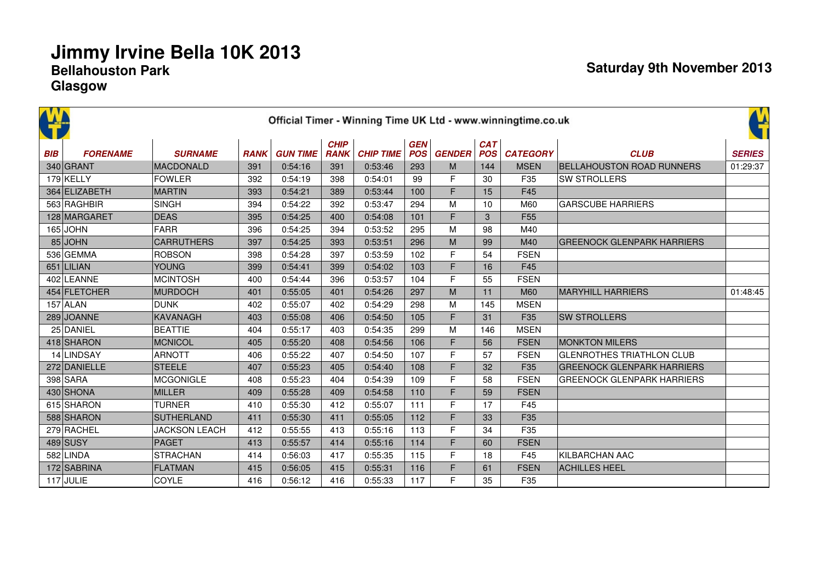|            | Official Timer - Winning Time UK Ltd - www.winningtime.co.uk |                      |             |                 |                            |                  |                          |               |                          |                 |                                   |               |  |  |
|------------|--------------------------------------------------------------|----------------------|-------------|-----------------|----------------------------|------------------|--------------------------|---------------|--------------------------|-----------------|-----------------------------------|---------------|--|--|
| <b>BIB</b> | <b>FORENAME</b>                                              | <b>SURNAME</b>       | <b>RANK</b> | <b>GUN TIME</b> | <b>CHIP</b><br><b>RANK</b> | <b>CHIP TIME</b> | <b>GEN</b><br><b>POS</b> | <b>GENDER</b> | <b>CAT</b><br><b>POS</b> | <b>CATEGORY</b> | <b>CLUB</b>                       | <b>SERIES</b> |  |  |
|            | 340 GRANT                                                    | MACDONALD            | 391         | 0:54:16         | 391                        | 0:53:46          | 293                      | M             | 144                      | <b>MSEN</b>     | <b>BELLAHOUSTON ROAD RUNNERS</b>  | 01:29:37      |  |  |
|            | $179$ KELLY                                                  | <b>FOWLER</b>        | 392         | 0:54:19         | 398                        | 0:54:01          | 99                       | F             | 30                       | F35             | <b>SW STROLLERS</b>               |               |  |  |
|            | 364 ELIZABETH                                                | <b>MARTIN</b>        | 393         | 0:54:21         | 389                        | 0:53:44          | 100                      | F             | 15                       | F45             |                                   |               |  |  |
|            | 563 RAGHBIR                                                  | <b>SINGH</b>         | 394         | 0:54:22         | 392                        | 0:53:47          | 294                      | M             | 10                       | M60             | <b>GARSCUBE HARRIERS</b>          |               |  |  |
|            | 128 MARGARET                                                 | <b>DEAS</b>          | 395         | 0:54:25         | 400                        | 0:54:08          | 101                      | F             | 3                        | F <sub>55</sub> |                                   |               |  |  |
|            | $165$ JOHN                                                   | <b>FARR</b>          | 396         | 0:54:25         | 394                        | 0:53:52          | 295                      | M             | 98                       | M40             |                                   |               |  |  |
|            | $85$ JOHN                                                    | <b>CARRUTHERS</b>    | 397         | 0:54:25         | 393                        | 0:53:51          | 296                      | M             | 99                       | M40             | <b>GREENOCK GLENPARK HARRIERS</b> |               |  |  |
|            | 536 GEMMA                                                    | <b>ROBSON</b>        | 398         | 0:54:28         | 397                        | 0:53:59          | 102                      | F             | 54                       | <b>FSEN</b>     |                                   |               |  |  |
|            | 651 LILIAN                                                   | <b>YOUNG</b>         | 399         | 0:54:41         | 399                        | 0:54:02          | 103                      | F             | 16                       | F45             |                                   |               |  |  |
|            | 402 LEANNE                                                   | MCINTOSH             | 400         | 0:54:44         | 396                        | 0:53:57          | 104                      | F             | 55                       | <b>FSEN</b>     |                                   |               |  |  |
|            | 454 FLETCHER                                                 | MURDOCH              | 401         | 0:55:05         | 401                        | 0:54:26          | 297                      | M             | 11                       | M60             | <b>MARYHILL HARRIERS</b>          | 01:48:45      |  |  |
|            | $157$ ALAN                                                   | DUNK                 | 402         | 0:55:07         | 402                        | 0:54:29          | 298                      | M             | 145                      | <b>MSEN</b>     |                                   |               |  |  |
|            | 289 JOANNE                                                   | KAVANAGH             | 403         | 0:55:08         | 406                        | 0:54:50          | 105                      | F             | 31                       | F35             | <b>SW STROLLERS</b>               |               |  |  |
|            | 25 DANIEL                                                    | <b>BEATTIE</b>       | 404         | 0:55:17         | 403                        | 0:54:35          | 299                      | M             | 146                      | <b>MSEN</b>     |                                   |               |  |  |
|            | 418 SHARON                                                   | MCNICOL              | 405         | 0:55:20         | 408                        | 0:54:56          | 106                      | F             | 56                       | <b>FSEN</b>     | <b>MONKTON MILERS</b>             |               |  |  |
|            | 14 LINDSAY                                                   | ARNOTT               | 406         | 0:55:22         | 407                        | 0:54:50          | 107                      | F             | 57                       | <b>FSEN</b>     | <b>GLENROTHES TRIATHLON CLUB</b>  |               |  |  |
|            | 272 DANIELLE                                                 | STEELE               | 407         | 0:55:23         | 405                        | 0:54:40          | 108                      | F             | 32                       | F35             | <b>GREENOCK GLENPARK HARRIERS</b> |               |  |  |
|            | 398 SARA                                                     | MCGONIGLE            | 408         | 0:55:23         | 404                        | 0:54:39          | 109                      | F             | 58                       | <b>FSEN</b>     | <b>GREENOCK GLENPARK HARRIERS</b> |               |  |  |
|            | 430 SHONA                                                    | MILLER               | 409         | 0:55:28         | 409                        | 0:54:58          | 110                      | F             | 59                       | <b>FSEN</b>     |                                   |               |  |  |
|            | 615 SHARON                                                   | <b>TURNER</b>        | 410         | 0:55:30         | 412                        | 0:55:07          | 111                      | F             | 17                       | F45             |                                   |               |  |  |
|            | 588 SHARON                                                   | <b>SUTHERLAND</b>    | 411         | 0:55:30         | 411                        | 0:55:05          | 112                      | F             | 33                       | F35             |                                   |               |  |  |
|            | 279 RACHEL                                                   | <b>JACKSON LEACH</b> | 412         | 0:55:55         | 413                        | 0:55:16          | 113                      | E             | 34                       | F35             |                                   |               |  |  |
|            | $489$ SUSY                                                   | PAGET                | 413         | 0:55:57         | 414                        | 0:55:16          | 114                      | F             | 60                       | <b>FSEN</b>     |                                   |               |  |  |
|            | 582 LINDA                                                    | <b>STRACHAN</b>      | 414         | 0:56:03         | 417                        | 0:55:35          | 115                      | F             | 18                       | F45             | KILBARCHAN AAC                    |               |  |  |
|            | 172 SABRINA                                                  | FLATMAN              | 415         | 0:56:05         | 415                        | 0:55:31          | 116                      | F             | 61                       | <b>FSEN</b>     | <b>ACHILLES HEEL</b>              |               |  |  |
|            | $117$ JULIE                                                  | COYLE                | 416         | 0:56:12         | 416                        | 0:55:33          | 117                      | F             | 35                       | F35             |                                   |               |  |  |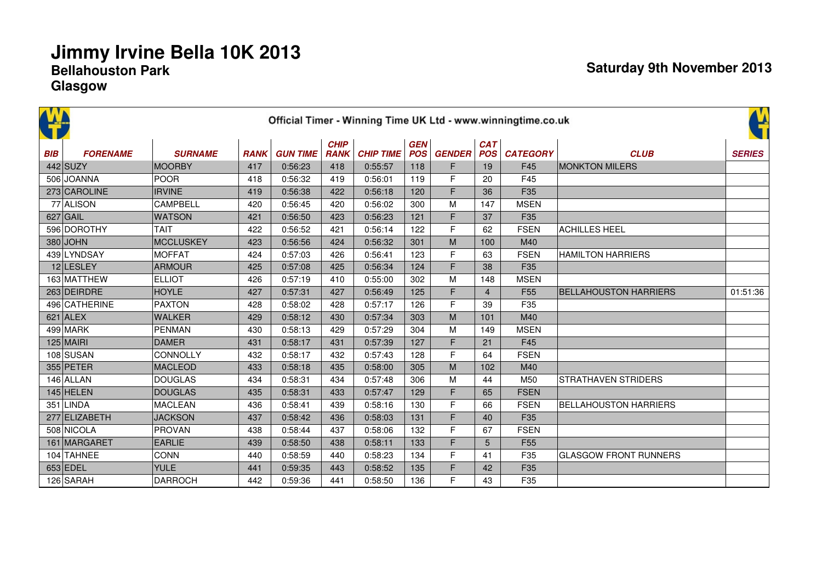|            | Official Timer - Winning Time UK Ltd - www.winningtime.co.uk |                  |             |                 |                            |                  |                          |               |                          |                 |                              |               |  |  |  |
|------------|--------------------------------------------------------------|------------------|-------------|-----------------|----------------------------|------------------|--------------------------|---------------|--------------------------|-----------------|------------------------------|---------------|--|--|--|
| <b>BIB</b> | <b>FORENAME</b>                                              | <b>SURNAME</b>   | <b>RANK</b> | <b>GUN TIME</b> | <b>CHIP</b><br><b>RANK</b> | <b>CHIP TIME</b> | <b>GEN</b><br><b>POS</b> | <b>GENDER</b> | <b>CAT</b><br><b>POS</b> | <b>CATEGORY</b> | <b>CLUB</b>                  | <b>SERIES</b> |  |  |  |
|            | $442$ SUZY                                                   | <b>MOORBY</b>    | 417         | 0:56:23         | 418                        | 0:55:57          | 118                      | F             | 19                       | F45             | <b>MONKTON MILERS</b>        |               |  |  |  |
|            | 506 JOANNA                                                   | <b>POOR</b>      | 418         | 0:56:32         | 419                        | 0:56:01          | 119                      | F             | 20                       | F45             |                              |               |  |  |  |
|            | 273 CAROLINE                                                 | <b>IRVINE</b>    | 419         | 0:56:38         | 422                        | 0:56:18          | 120                      | F             | 36                       | F35             |                              |               |  |  |  |
|            | 77 ALISON                                                    | CAMPBELL         | 420         | 0:56:45         | 420                        | 0:56:02          | 300                      | M             | 147                      | <b>MSEN</b>     |                              |               |  |  |  |
|            | $627$ GAIL                                                   | <b>WATSON</b>    | 421         | 0:56:50         | 423                        | 0:56:23          | 121                      | F             | 37                       | F35             |                              |               |  |  |  |
|            | 596 DOROTHY                                                  | <b>TAIT</b>      | 422         | 0:56:52         | 421                        | 0:56:14          | 122                      | F             | 62                       | <b>FSEN</b>     | <b>ACHILLES HEEL</b>         |               |  |  |  |
|            | $380$ JOHN                                                   | <b>MCCLUSKEY</b> | 423         | 0:56:56         | 424                        | 0:56:32          | 301                      | M             | 100                      | M40             |                              |               |  |  |  |
|            | 439 LYNDSAY                                                  | <b>MOFFAT</b>    | 424         | 0:57:03         | 426                        | 0:56:41          | 123                      | F             | 63                       | <b>FSEN</b>     | <b>HAMILTON HARRIERS</b>     |               |  |  |  |
|            | 12 LESLEY                                                    | ARMOUR           | 425         | 0:57:08         | 425                        | 0:56:34          | 124                      | F.            | 38                       | F35             |                              |               |  |  |  |
|            | 163 MATTHEW                                                  | <b>ELLIOT</b>    | 426         | 0:57:19         | 410                        | 0:55:00          | 302                      | M             | 148                      | <b>MSEN</b>     |                              |               |  |  |  |
|            | 263 DEIRDRE                                                  | <b>HOYLE</b>     | 427         | 0:57:31         | 427                        | 0:56:49          | 125                      | F             | $\overline{4}$           | F <sub>55</sub> | <b>BELLAHOUSTON HARRIERS</b> | 01:51:36      |  |  |  |
|            | 496 CATHERINE                                                | <b>PAXTON</b>    | 428         | 0:58:02         | 428                        | 0:57:17          | 126                      | F             | 39                       | F35             |                              |               |  |  |  |
|            | $621$ ALEX                                                   | <b>WALKER</b>    | 429         | 0:58:12         | 430                        | 0:57:34          | 303                      | M             | 101                      | M40             |                              |               |  |  |  |
|            | 499 MARK                                                     | <b>PENMAN</b>    | 430         | 0:58:13         | 429                        | 0:57:29          | 304                      | M             | 149                      | <b>MSEN</b>     |                              |               |  |  |  |
|            | $125$ MAIRI                                                  | <b>DAMER</b>     | 431         | 0:58:17         | 431                        | 0:57:39          | 127                      | F             | 21                       | F45             |                              |               |  |  |  |
|            | 108 SUSAN                                                    | CONNOLLY         | 432         | 0:58:17         | 432                        | 0:57:43          | 128                      | F             | 64                       | <b>FSEN</b>     |                              |               |  |  |  |
|            | 355 PETER                                                    | <b>MACLEOD</b>   | 433         | 0:58:18         | 435                        | 0:58:00          | 305                      | ${\sf M}$     | 102                      | M40             |                              |               |  |  |  |
|            | $146$ ALLAN                                                  | <b>DOUGLAS</b>   | 434         | 0:58:31         | 434                        | 0:57:48          | 306                      | M             | 44                       | M50             | STRATHAVEN STRIDERS          |               |  |  |  |
|            | $145$ HELEN                                                  | <b>DOUGLAS</b>   | 435         | 0:58:31         | 433                        | 0:57:47          | 129                      | F             | 65                       | <b>FSEN</b>     |                              |               |  |  |  |
|            | 351 LINDA                                                    | <b>MACLEAN</b>   | 436         | 0:58:41         | 439                        | 0:58:16          | 130                      | F             | 66                       | <b>FSEN</b>     | <b>BELLAHOUSTON HARRIERS</b> |               |  |  |  |
|            | 277 ELIZABETH                                                | <b>JACKSON</b>   | 437         | 0:58:42         | 436                        | 0:58:03          | 131                      | F             | 40                       | F <sub>35</sub> |                              |               |  |  |  |
|            | 508 NICOLA                                                   | <b>PROVAN</b>    | 438         | 0:58:44         | 437                        | 0:58:06          | 132                      | F             | 67                       | <b>FSEN</b>     |                              |               |  |  |  |
|            | 161 MARGARET                                                 | <b>EARLIE</b>    | 439         | 0:58:50         | 438                        | 0:58:11          | 133                      | F             | 5                        | F <sub>55</sub> |                              |               |  |  |  |
|            | 104 TAHNEE                                                   | <b>CONN</b>      | 440         | 0:58:59         | 440                        | 0:58:23          | 134                      | F             | 41                       | F35             | <b>GLASGOW FRONT RUNNERS</b> |               |  |  |  |
|            | $653$ EDEL                                                   | <b>YULE</b>      | 441         | 0:59:35         | 443                        | 0:58:52          | 135                      | F             | 42                       | F35             |                              |               |  |  |  |
|            | 126 SARAH                                                    | <b>DARROCH</b>   | 442         | 0:59:36         | 441                        | 0:58:50          | 136                      | F.            | 43                       | F35             |                              |               |  |  |  |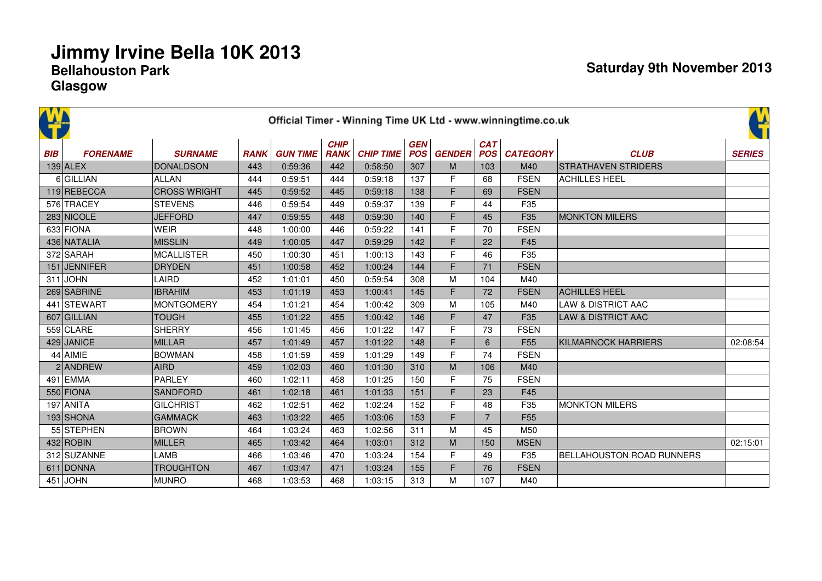|            | Official Timer - Winning Time UK Ltd - www.winningtime.co.uk |                     |             |                 |                            |                  |                          |               |                          |                 |                                  |               |  |  |
|------------|--------------------------------------------------------------|---------------------|-------------|-----------------|----------------------------|------------------|--------------------------|---------------|--------------------------|-----------------|----------------------------------|---------------|--|--|
| <b>BIB</b> | <b>FORENAME</b>                                              | <b>SURNAME</b>      | <b>RANK</b> | <b>GUN TIME</b> | <b>CHIP</b><br><b>RANK</b> | <b>CHIP TIME</b> | <b>GEN</b><br><b>POS</b> | <b>GENDER</b> | <b>CAT</b><br><b>POS</b> | <b>CATEGORY</b> | <b>CLUB</b>                      | <b>SERIES</b> |  |  |
|            | $139$ ALEX                                                   | <b>DONALDSON</b>    | 443         | 0:59:36         | 442                        | 0:58:50          | 307                      | M             | 103                      | M40             | <b>ISTRATHAVEN STRIDERS</b>      |               |  |  |
|            | 6 GILLIAN                                                    | <b>ALLAN</b>        | 444         | 0:59:51         | 444                        | 0:59:18          | 137                      | F             | 68                       | <b>FSEN</b>     | <b>ACHILLES HEEL</b>             |               |  |  |
|            | 119 REBECCA                                                  | <b>CROSS WRIGHT</b> | 445         | 0:59:52         | 445                        | 0:59:18          | 138                      | F             | 69                       | <b>FSEN</b>     |                                  |               |  |  |
|            | 576 TRACEY                                                   | <b>STEVENS</b>      | 446         | 0:59:54         | 449                        | 0:59:37          | 139                      | F             | 44                       | F35             |                                  |               |  |  |
|            | 283 NICOLE                                                   | <b>JEFFORD</b>      | 447         | 0:59:55         | 448                        | 0:59:30          | 140                      | F             | 45                       | F35             | <b>MONKTON MILERS</b>            |               |  |  |
|            | 633 FIONA                                                    | WEIR                | 448         | 1:00:00         | 446                        | 0:59:22          | 141                      | F             | 70                       | <b>FSEN</b>     |                                  |               |  |  |
|            | 436 NATALIA                                                  | <b>MISSLIN</b>      | 449         | 1:00:05         | 447                        | 0:59:29          | 142                      | F             | 22                       | F45             |                                  |               |  |  |
|            | 372 SARAH                                                    | <b>MCALLISTER</b>   | 450         | 1:00:30         | 451                        | 1:00:13          | 143                      | F             | 46                       | F35             |                                  |               |  |  |
|            | 151 JENNIFER                                                 | <b>DRYDEN</b>       | 451         | 1:00:58         | 452                        | 1:00:24          | 144                      | F.            | 71                       | <b>FSEN</b>     |                                  |               |  |  |
|            | $311$ JOHN                                                   | LAIRD               | 452         | 1:01:01         | 450                        | 0:59:54          | 308                      | M             | 104                      | M40             |                                  |               |  |  |
|            | 269 SABRINE                                                  | <b>IBRAHIM</b>      | 453         | 1:01:19         | 453                        | 1:00:41          | 145                      | F             | 72                       | <b>FSEN</b>     | <b>ACHILLES HEEL</b>             |               |  |  |
|            | 441 STEWART                                                  | <b>MONTGOMERY</b>   | 454         | 1:01:21         | 454                        | 1:00:42          | 309                      | M             | 105                      | M40             | <b>LAW &amp; DISTRICT AAC</b>    |               |  |  |
|            | 607 GILLIAN                                                  | <b>TOUGH</b>        | 455         | 1:01:22         | 455                        | 1:00:42          | 146                      | F             | 47                       | F <sub>35</sub> | <b>LAW &amp; DISTRICT AAC</b>    |               |  |  |
|            | 559 CLARE                                                    | <b>SHERRY</b>       | 456         | 1:01:45         | 456                        | 1:01:22          | 147                      | F             | 73                       | <b>FSEN</b>     |                                  |               |  |  |
|            | 429 JANICE                                                   | <b>MILLAR</b>       | 457         | 1:01:49         | 457                        | 1:01:22          | 148                      | F             | 6                        | F <sub>55</sub> | <b>KILMARNOCK HARRIERS</b>       | 02:08:54      |  |  |
|            | 44 AIMIE                                                     | <b>BOWMAN</b>       | 458         | 1:01:59         | 459                        | 1:01:29          | 149                      | F             | 74                       | <b>FSEN</b>     |                                  |               |  |  |
|            | 2 ANDREW                                                     | <b>AIRD</b>         | 459         | 1:02:03         | 460                        | 1:01:30          | 310                      | M             | 106                      | M40             |                                  |               |  |  |
|            | 491 EMMA                                                     | PARLEY              | 460         | 1:02:11         | 458                        | 1:01:25          | 150                      | F             | 75                       | <b>FSEN</b>     |                                  |               |  |  |
|            | 550 FIONA                                                    | <b>SANDFORD</b>     | 461         | 1:02:18         | 461                        | 1:01:33          | 151                      | F             | 23                       | F45             |                                  |               |  |  |
|            | $197$ ANITA                                                  | <b>GILCHRIST</b>    | 462         | 1:02:51         | 462                        | 1:02:24          | 152                      | F             | 48                       | F35             | <b>MONKTON MILERS</b>            |               |  |  |
|            | 193 SHONA                                                    | <b>GAMMACK</b>      | 463         | 1:03:22         | 465                        | 1:03:06          | 153                      | F             | $\overline{7}$           | F <sub>55</sub> |                                  |               |  |  |
|            | 55 STEPHEN                                                   | <b>BROWN</b>        | 464         | 1:03:24         | 463                        | 1:02:56          | 311                      | M             | 45                       | M50             |                                  |               |  |  |
|            | $432$ ROBIN                                                  | <b>MILLER</b>       | 465         | 1:03:42         | 464                        | 1:03:01          | 312                      | M             | 150                      | <b>MSEN</b>     |                                  | 02:15:01      |  |  |
|            | 312 SUZANNE                                                  | LAMB                | 466         | 1:03:46         | 470                        | 1:03:24          | 154                      | F             | 49                       | F35             | <b>BELLAHOUSTON ROAD RUNNERS</b> |               |  |  |
|            | 611 DONNA                                                    | <b>TROUGHTON</b>    | 467         | 1:03:47         | 471                        | 1:03:24          | 155                      | F             | 76                       | <b>FSEN</b>     |                                  |               |  |  |
|            | $451$ JOHN                                                   | <b>MUNRO</b>        | 468         | 1:03:53         | 468                        | 1:03:15          | 313                      | M             | 107                      | M40             |                                  |               |  |  |